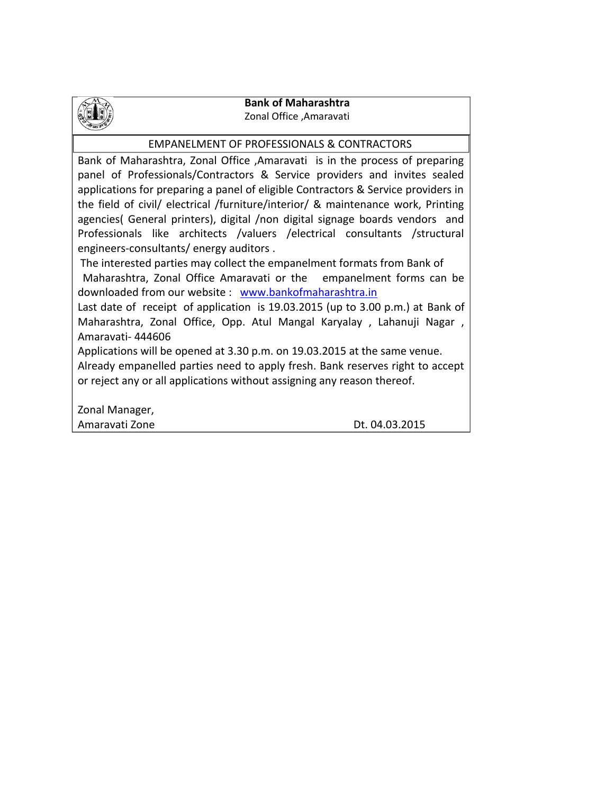

### **Bank of Maharashtra** Zonal Office ,Amaravati

## EMPANELMENT OF PROFESSIONALS & CONTRACTORS

Bank of Maharashtra, Zonal Office ,Amaravati is in the process of preparing panel of Professionals/Contractors & Service providers and invites sealed applications for preparing a panel of eligible Contractors & Service providers in the field of civil/ electrical /furniture/interior/ & maintenance work, Printing agencies( General printers), digital /non digital signage boards vendors and Professionals like architects /valuers /electrical consultants /structural engineers-consultants/ energy auditors .

The interested parties may collect the empanelment formats from Bank of

Maharashtra, Zonal Office Amaravati or the empanelment forms can be downloaded from our website : [www.bankofmaharashtra.in](http://www.bankofmaharashtra.in/)

Last date of receipt of application is 19.03.2015 (up to 3.00 p.m.) at Bank of Maharashtra, Zonal Office, Opp. Atul Mangal Karyalay , Lahanuji Nagar , Amaravati- 444606

Applications will be opened at 3.30 p.m. on 19.03.2015 at the same venue.

Already empanelled parties need to apply fresh. Bank reserves right to accept or reject any or all applications without assigning any reason thereof.

Zonal Manager, Amaravati Zone Dt. 04.03.2015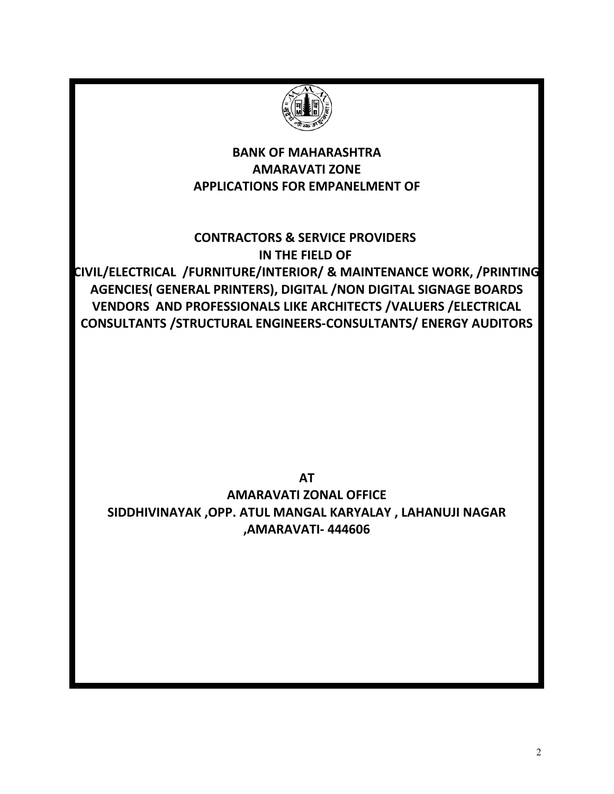

# **BANK OF MAHARASHTRA AMARAVATI ZONE APPLICATIONS FOR EMPANELMENT OF**

**CONTRACTORS & SERVICE PROVIDERS IN THE FIELD OF** 

**CIVIL/ELECTRICAL /FURNITURE/INTERIOR/ & MAINTENANCE WORK, /PRINTING AGENCIES( GENERAL PRINTERS), DIGITAL /NON DIGITAL SIGNAGE BOARDS VENDORS AND PROFESSIONALS LIKE ARCHITECTS /VALUERS /ELECTRICAL CONSULTANTS /STRUCTURAL ENGINEERS-CONSULTANTS/ ENERGY AUDITORS**

**AT AMARAVATI ZONAL OFFICE SIDDHIVINAYAK ,OPP. ATUL MANGAL KARYALAY , LAHANUJI NAGAR ,AMARAVATI- 444606**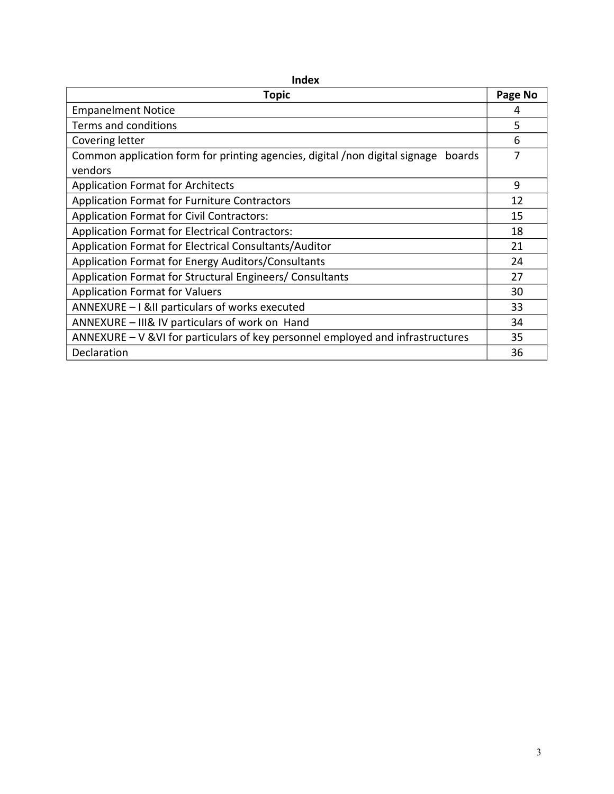| ……                                                                                    |         |  |
|---------------------------------------------------------------------------------------|---------|--|
| <b>Topic</b>                                                                          | Page No |  |
| <b>Empanelment Notice</b>                                                             | 4       |  |
| Terms and conditions                                                                  | 5       |  |
| Covering letter                                                                       | 6       |  |
| Common application form for printing agencies, digital /non digital signage<br>boards |         |  |
| vendors                                                                               |         |  |
| <b>Application Format for Architects</b>                                              | 9       |  |
| Application Format for Furniture Contractors                                          | 12      |  |
| <b>Application Format for Civil Contractors:</b>                                      | 15      |  |
| Application Format for Electrical Contractors:                                        | 18      |  |
| Application Format for Electrical Consultants/Auditor                                 | 21      |  |
| Application Format for Energy Auditors/Consultants                                    | 24      |  |
| Application Format for Structural Engineers/ Consultants                              | 27      |  |
| <b>Application Format for Valuers</b>                                                 | 30      |  |
| ANNEXURE - I &II particulars of works executed                                        | 33      |  |
| ANNEXURE - III& IV particulars of work on Hand                                        | 34      |  |
| ANNEXURE $-V$ & VI for particulars of key personnel employed and infrastructures      | 35      |  |
| Declaration                                                                           | 36      |  |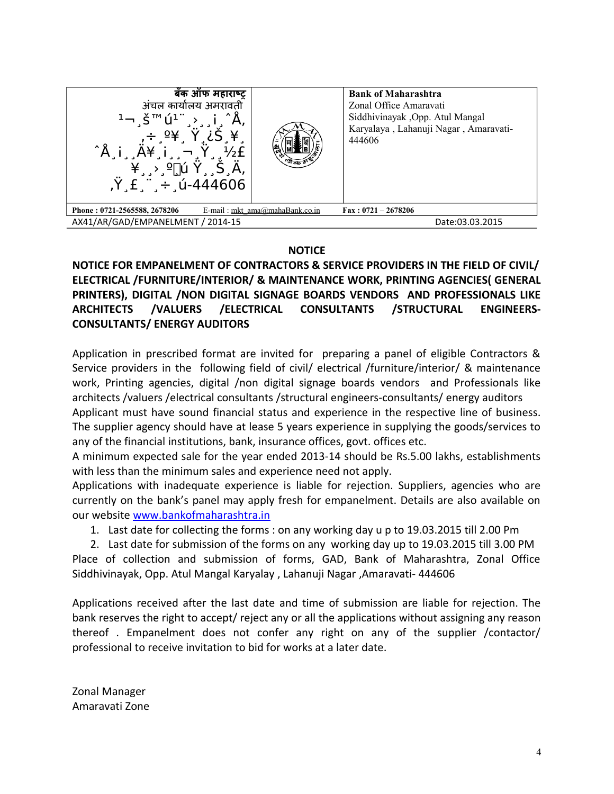| बँक ऑफ महाराष्ट्र<br>अंचल कार्यालय अमरावती<br>$1$ ¬ Š™ú <sup>1</sup><br>$\hat{A}$ i<br>$\frac{1}{2}$<br>$\ddot{Y}$ £ $\dddot{F}$ $\div$ 0-444606 |                                  | <b>Bank of Maharashtra</b><br>Zonal Office Amaravati<br>Siddhivinayak , Opp. Atul Mangal<br>Karyalaya, Lahanuji Nagar, Amaravati-<br>444606 |
|--------------------------------------------------------------------------------------------------------------------------------------------------|----------------------------------|---------------------------------------------------------------------------------------------------------------------------------------------|
| Phone: 0721-2565588, 2678206                                                                                                                     | E-mail: mkt $ama@mahaBank.co.in$ | $\text{Fax}: 0721 - 2678206$                                                                                                                |
| AX41/AR/GAD/EMPANELMENT / 2014-15                                                                                                                |                                  | Date:03.03.2015                                                                                                                             |

## **NOTICE**

**NOTICE FOR EMPANELMENT OF CONTRACTORS & SERVICE PROVIDERS IN THE FIELD OF CIVIL/ ELECTRICAL /FURNITURE/INTERIOR/ & MAINTENANCE WORK, PRINTING AGENCIES( GENERAL PRINTERS), DIGITAL /NON DIGITAL SIGNAGE BOARDS VENDORS AND PROFESSIONALS LIKE ARCHITECTS /VALUERS /ELECTRICAL CONSULTANTS /STRUCTURAL ENGINEERS-CONSULTANTS/ ENERGY AUDITORS**

Application in prescribed format are invited for preparing a panel of eligible Contractors & Service providers in the following field of civil/ electrical /furniture/interior/ & maintenance work, Printing agencies, digital /non digital signage boards vendors and Professionals like architects /valuers /electrical consultants /structural engineers-consultants/ energy auditors Applicant must have sound financial status and experience in the respective line of business.

The supplier agency should have at lease 5 years experience in supplying the goods/services to any of the financial institutions, bank, insurance offices, govt. offices etc.

A minimum expected sale for the year ended 2013-14 should be Rs.5.00 lakhs, establishments with less than the minimum sales and experience need not apply.

Applications with inadequate experience is liable for rejection. Suppliers, agencies who are currently on the bank's panel may apply fresh for empanelment. Details are also available on our website [www.bankofmaharashtra.in](http://www.bankofmaharashtra.in/)

1. Last date for collecting the forms : on any working day u p to 19.03.2015 till 2.00 Pm

2. Last date for submission of the forms on any working day up to 19.03.2015 till 3.00 PM Place of collection and submission of forms, GAD, Bank of Maharashtra, Zonal Office Siddhivinayak, Opp. Atul Mangal Karyalay , Lahanuji Nagar ,Amaravati- 444606

Applications received after the last date and time of submission are liable for rejection. The bank reserves the right to accept/ reject any or all the applications without assigning any reason thereof . Empanelment does not confer any right on any of the supplier /contactor/ professional to receive invitation to bid for works at a later date.

Zonal Manager Amaravati Zone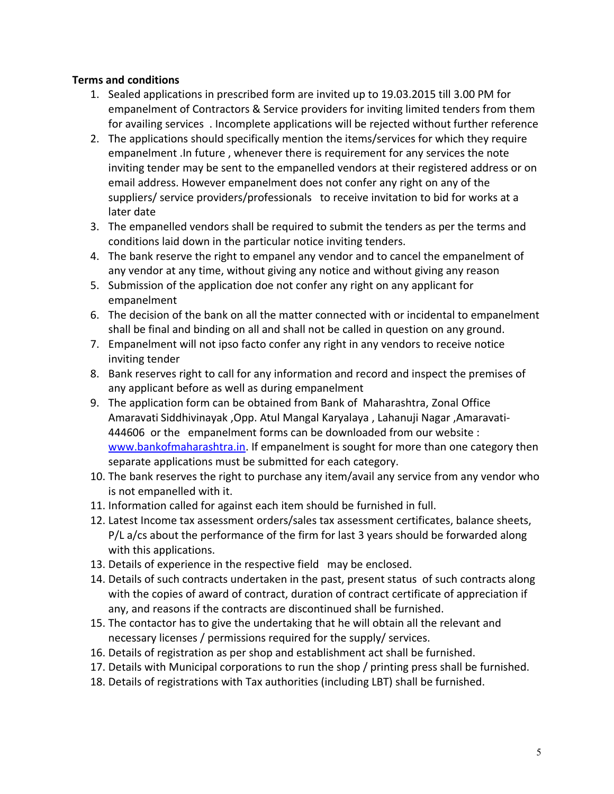# **Terms and conditions**

- 1. Sealed applications in prescribed form are invited up to 19.03.2015 till 3.00 PM for empanelment of Contractors & Service providers for inviting limited tenders from them for availing services . Incomplete applications will be rejected without further reference
- 2. The applications should specifically mention the items/services for which they require empanelment .In future , whenever there is requirement for any services the note inviting tender may be sent to the empanelled vendors at their registered address or on email address. However empanelment does not confer any right on any of the suppliers/ service providers/professionals to receive invitation to bid for works at a later date
- 3. The empanelled vendors shall be required to submit the tenders as per the terms and conditions laid down in the particular notice inviting tenders.
- 4. The bank reserve the right to empanel any vendor and to cancel the empanelment of any vendor at any time, without giving any notice and without giving any reason
- 5. Submission of the application doe not confer any right on any applicant for empanelment
- 6. The decision of the bank on all the matter connected with or incidental to empanelment shall be final and binding on all and shall not be called in question on any ground.
- 7. Empanelment will not ipso facto confer any right in any vendors to receive notice inviting tender
- 8. Bank reserves right to call for any information and record and inspect the premises of any applicant before as well as during empanelment
- 9. The application form can be obtained from Bank of Maharashtra, Zonal Office Amaravati Siddhivinayak ,Opp. Atul Mangal Karyalaya , Lahanuji Nagar ,Amaravati-444606 or the empanelment forms can be downloaded from our website : [www.bankofmaharashtra.in.](http://www.bankofmaharashtra.in/) If empanelment is sought for more than one category then separate applications must be submitted for each category.
- 10. The bank reserves the right to purchase any item/avail any service from any vendor who is not empanelled with it.
- 11. Information called for against each item should be furnished in full.
- 12. Latest Income tax assessment orders/sales tax assessment certificates, balance sheets, P/L a/cs about the performance of the firm for last 3 years should be forwarded along with this applications.
- 13. Details of experience in the respective field may be enclosed.
- 14. Details of such contracts undertaken in the past, present status of such contracts along with the copies of award of contract, duration of contract certificate of appreciation if any, and reasons if the contracts are discontinued shall be furnished.
- 15. The contactor has to give the undertaking that he will obtain all the relevant and necessary licenses / permissions required for the supply/ services.
- 16. Details of registration as per shop and establishment act shall be furnished.
- 17. Details with Municipal corporations to run the shop / printing press shall be furnished.
- 18. Details of registrations with Tax authorities (including LBT) shall be furnished.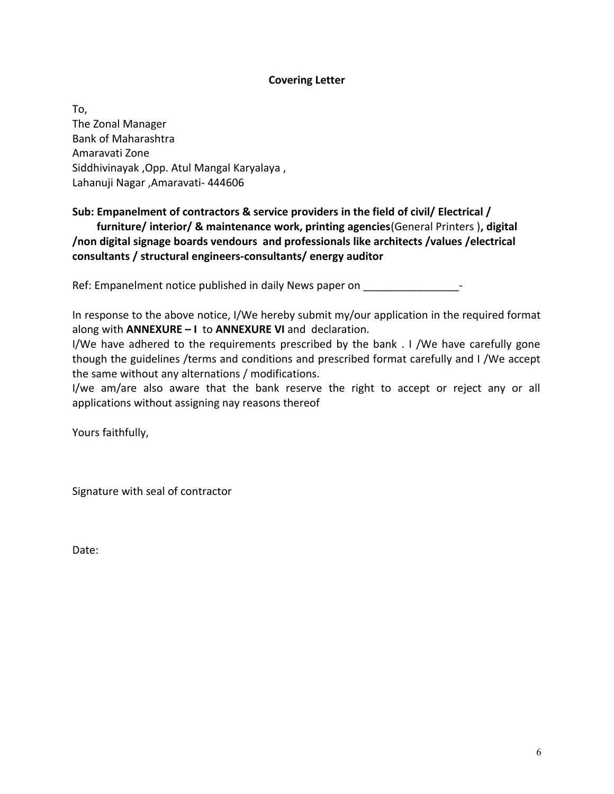### **Covering Letter**

To, The Zonal Manager Bank of Maharashtra Amaravati Zone Siddhivinayak ,Opp. Atul Mangal Karyalaya , Lahanuji Nagar ,Amaravati- 444606

# **Sub: Empanelment of contractors & service providers in the field of civil/ Electrical /**

 **furniture/ interior/ & maintenance work, printing agencies**(General Printers )**, digital /non digital signage boards vendours and professionals like architects /values /electrical consultants / structural engineers-consultants/ energy auditor**

Ref: Empanelment notice published in daily News paper on \_\_\_\_\_\_\_\_\_\_\_\_\_\_\_\_\_\_\_\_-

In response to the above notice, I/We hereby submit my/our application in the required format along with **ANNEXURE – I** to **ANNEXURE VI** and declaration.

I/We have adhered to the requirements prescribed by the bank . I /We have carefully gone though the guidelines /terms and conditions and prescribed format carefully and I /We accept the same without any alternations / modifications.

I/we am/are also aware that the bank reserve the right to accept or reject any or all applications without assigning nay reasons thereof

Yours faithfully,

Signature with seal of contractor

Date: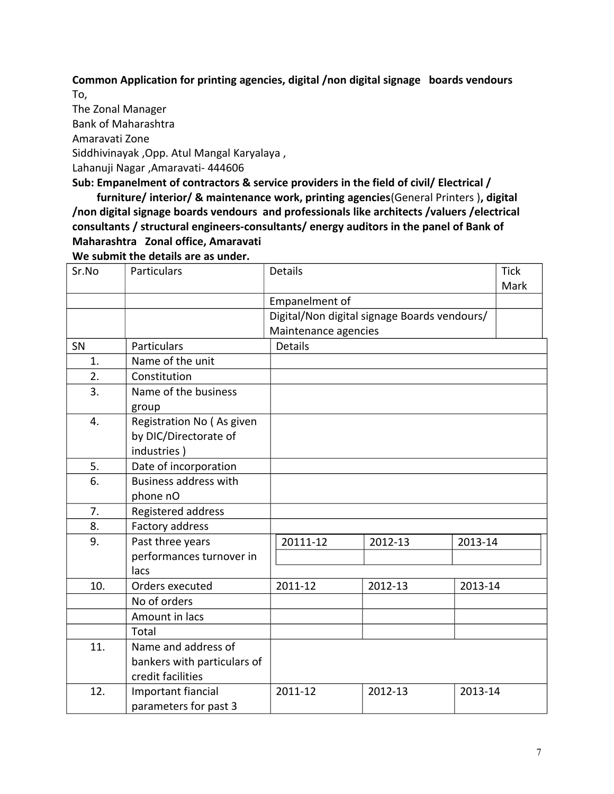**Common Application for printing agencies, digital /non digital signage boards vendours** To,

The Zonal Manager

Bank of Maharashtra

Amaravati Zone

Siddhivinayak ,Opp. Atul Mangal Karyalaya ,

Lahanuji Nagar ,Amaravati- 444606

**Sub: Empanelment of contractors & service providers in the field of civil/ Electrical /** 

 **furniture/ interior/ & maintenance work, printing agencies**(General Printers )**, digital /non digital signage boards vendours and professionals like architects /valuers /electrical consultants / structural engineers-consultants/ energy auditors in the panel of Bank of Maharashtra Zonal office, Amaravati** 

**We submit the details are as under.**

| Sr.No | Particulars                  | Details              |                                              |         | <b>Tick</b><br>Mark |
|-------|------------------------------|----------------------|----------------------------------------------|---------|---------------------|
|       |                              | Empanelment of       |                                              |         |                     |
|       |                              |                      | Digital/Non digital signage Boards vendours/ |         |                     |
|       |                              | Maintenance agencies |                                              |         |                     |
| SN    | Particulars                  | <b>Details</b>       |                                              |         |                     |
| 1.    | Name of the unit             |                      |                                              |         |                     |
| 2.    | Constitution                 |                      |                                              |         |                     |
| 3.    | Name of the business         |                      |                                              |         |                     |
|       | group                        |                      |                                              |         |                     |
| 4.    | Registration No (As given    |                      |                                              |         |                     |
|       | by DIC/Directorate of        |                      |                                              |         |                     |
|       | industries)                  |                      |                                              |         |                     |
| 5.    | Date of incorporation        |                      |                                              |         |                     |
| 6.    | <b>Business address with</b> |                      |                                              |         |                     |
|       | phone nO                     |                      |                                              |         |                     |
| 7.    | Registered address           |                      |                                              |         |                     |
| 8.    | Factory address              |                      |                                              |         |                     |
| 9.    | Past three years             | 20111-12             | 2012-13                                      | 2013-14 |                     |
|       | performances turnover in     |                      |                                              |         |                     |
|       | lacs                         |                      |                                              |         |                     |
| 10.   | Orders executed              | 2011-12              | 2012-13                                      | 2013-14 |                     |
|       | No of orders                 |                      |                                              |         |                     |
|       | Amount in lacs               |                      |                                              |         |                     |
|       | Total                        |                      |                                              |         |                     |
| 11.   | Name and address of          |                      |                                              |         |                     |
|       | bankers with particulars of  |                      |                                              |         |                     |
|       | credit facilities            |                      |                                              |         |                     |
| 12.   | Important fiancial           | 2011-12              | 2012-13                                      | 2013-14 |                     |
|       | parameters for past 3        |                      |                                              |         |                     |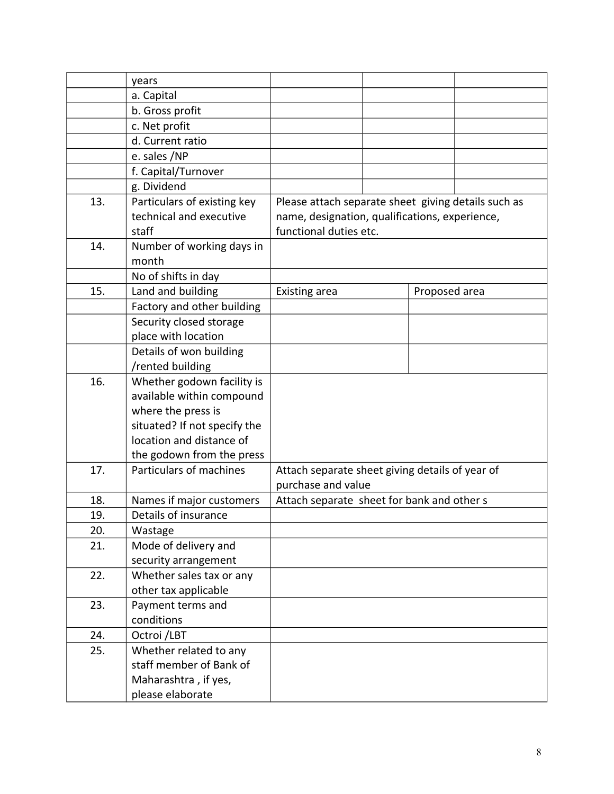|     | years                        |                                                     |               |
|-----|------------------------------|-----------------------------------------------------|---------------|
|     | a. Capital                   |                                                     |               |
|     | b. Gross profit              |                                                     |               |
|     | c. Net profit                |                                                     |               |
|     | d. Current ratio             |                                                     |               |
|     | e. sales /NP                 |                                                     |               |
|     | f. Capital/Turnover          |                                                     |               |
|     | g. Dividend                  |                                                     |               |
| 13. | Particulars of existing key  | Please attach separate sheet giving details such as |               |
|     | technical and executive      | name, designation, qualifications, experience,      |               |
|     | staff                        | functional duties etc.                              |               |
| 14. | Number of working days in    |                                                     |               |
|     | month                        |                                                     |               |
|     | No of shifts in day          |                                                     |               |
| 15. | Land and building            | Existing area                                       | Proposed area |
|     | Factory and other building   |                                                     |               |
|     | Security closed storage      |                                                     |               |
|     | place with location          |                                                     |               |
|     | Details of won building      |                                                     |               |
|     | /rented building             |                                                     |               |
| 16. | Whether godown facility is   |                                                     |               |
|     | available within compound    |                                                     |               |
|     | where the press is           |                                                     |               |
|     | situated? If not specify the |                                                     |               |
|     | location and distance of     |                                                     |               |
|     | the godown from the press    |                                                     |               |
| 17. | Particulars of machines      | Attach separate sheet giving details of year of     |               |
|     |                              | purchase and value                                  |               |
| 18. | Names if major customers     | Attach separate sheet for bank and other s          |               |
| 19. | Details of insurance         |                                                     |               |
| 20. | Wastage                      |                                                     |               |
| 21. | Mode of delivery and         |                                                     |               |
|     | security arrangement         |                                                     |               |
| 22. | Whether sales tax or any     |                                                     |               |
|     | other tax applicable         |                                                     |               |
| 23. | Payment terms and            |                                                     |               |
|     | conditions                   |                                                     |               |
| 24. | Octroi /LBT                  |                                                     |               |
| 25. | Whether related to any       |                                                     |               |
|     | staff member of Bank of      |                                                     |               |
|     | Maharashtra, if yes,         |                                                     |               |
|     | please elaborate             |                                                     |               |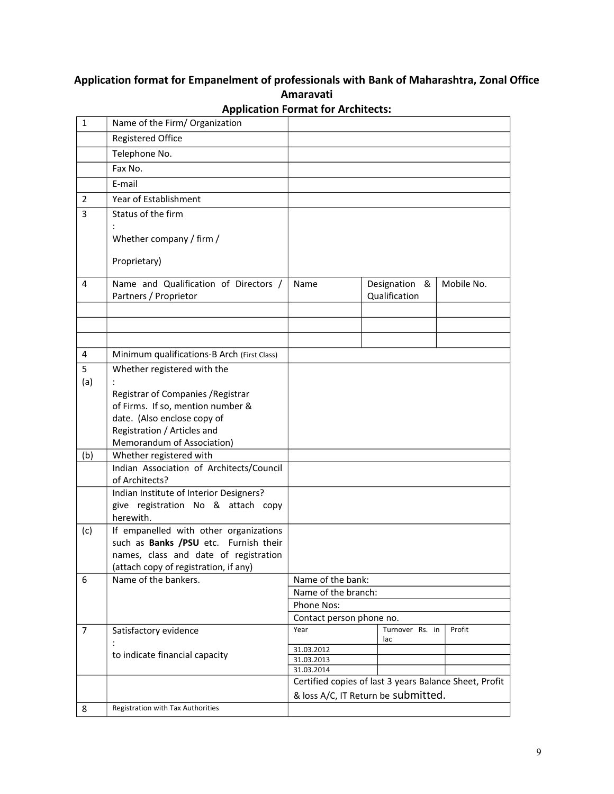# **Application format for Empanelment of professionals with Bank of Maharashtra, Zonal Office Amaravati**

| $\mathbf{1}$   | Name of the Firm/ Organization                                                 |                                                        |                                |            |
|----------------|--------------------------------------------------------------------------------|--------------------------------------------------------|--------------------------------|------------|
|                | Registered Office                                                              |                                                        |                                |            |
|                | Telephone No.                                                                  |                                                        |                                |            |
|                | Fax No.                                                                        |                                                        |                                |            |
|                | E-mail                                                                         |                                                        |                                |            |
| $\overline{2}$ | Year of Establishment                                                          |                                                        |                                |            |
| 3              | Status of the firm                                                             |                                                        |                                |            |
|                | Whether company / firm /                                                       |                                                        |                                |            |
|                | Proprietary)                                                                   |                                                        |                                |            |
| 4              | Name and Qualification of Directors /<br>Partners / Proprietor                 | Name                                                   | Designation &<br>Qualification | Mobile No. |
|                |                                                                                |                                                        |                                |            |
|                |                                                                                |                                                        |                                |            |
| 4              | Minimum qualifications-B Arch (First Class)                                    |                                                        |                                |            |
| 5              | Whether registered with the                                                    |                                                        |                                |            |
| (a)            |                                                                                |                                                        |                                |            |
|                | Registrar of Companies / Registrar                                             |                                                        |                                |            |
|                | of Firms. If so, mention number &                                              |                                                        |                                |            |
|                | date. (Also enclose copy of                                                    |                                                        |                                |            |
|                | Registration / Articles and<br>Memorandum of Association)                      |                                                        |                                |            |
| (b)            | Whether registered with                                                        |                                                        |                                |            |
|                | Indian Association of Architects/Council<br>of Architects?                     |                                                        |                                |            |
|                | Indian Institute of Interior Designers?                                        |                                                        |                                |            |
|                | give registration No & attach copy<br>herewith.                                |                                                        |                                |            |
| (c)            | If empanelled with other organizations                                         |                                                        |                                |            |
|                | such as Banks /PSU etc. Furnish their                                          |                                                        |                                |            |
|                | names, class and date of registration<br>(attach copy of registration, if any) |                                                        |                                |            |
| 6              | Name of the bankers.                                                           | Name of the bank:                                      |                                |            |
|                |                                                                                | Name of the branch:                                    |                                |            |
|                |                                                                                | Phone Nos:                                             |                                |            |
|                |                                                                                | Contact person phone no.                               |                                |            |
| $\overline{7}$ | Satisfactory evidence                                                          | Year                                                   | Turnover Rs. in<br>lac         | Profit     |
|                | to indicate financial capacity                                                 | 31.03.2012                                             |                                |            |
|                |                                                                                | 31.03.2013<br>31.03.2014                               |                                |            |
|                |                                                                                | Certified copies of last 3 years Balance Sheet, Profit |                                |            |
|                |                                                                                | & loss A/C, IT Return be submitted.                    |                                |            |
| 8              | Registration with Tax Authorities                                              |                                                        |                                |            |

**Application Format for Architects:**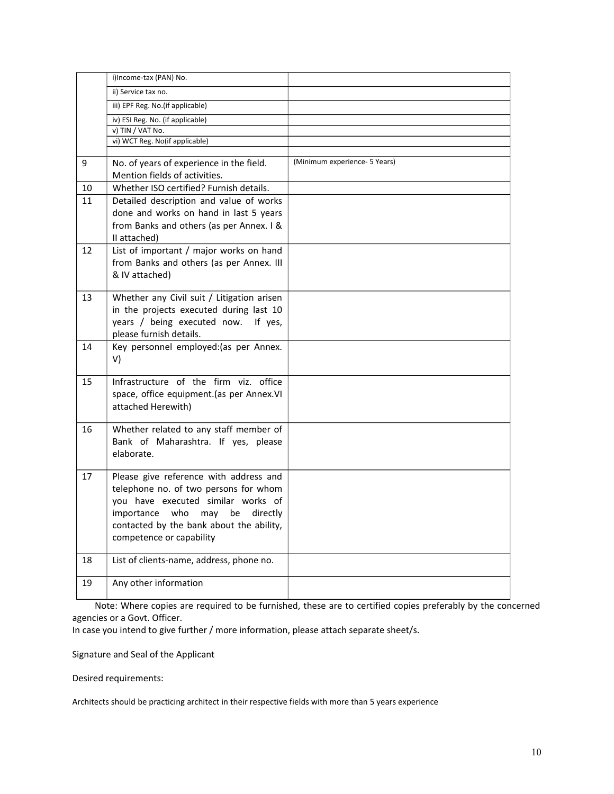|    | i)Income-tax (PAN) No.                                                                                                                                                                                                                   |                               |
|----|------------------------------------------------------------------------------------------------------------------------------------------------------------------------------------------------------------------------------------------|-------------------------------|
|    | ii) Service tax no.                                                                                                                                                                                                                      |                               |
|    | iii) EPF Reg. No. (if applicable)                                                                                                                                                                                                        |                               |
|    | iv) ESI Reg. No. (if applicable)                                                                                                                                                                                                         |                               |
|    | v) TIN / VAT No.                                                                                                                                                                                                                         |                               |
|    | vi) WCT Reg. No(if applicable)                                                                                                                                                                                                           |                               |
|    |                                                                                                                                                                                                                                          |                               |
| 9  | No. of years of experience in the field.<br>Mention fields of activities.                                                                                                                                                                | (Minimum experience- 5 Years) |
| 10 | Whether ISO certified? Furnish details.                                                                                                                                                                                                  |                               |
| 11 | Detailed description and value of works<br>done and works on hand in last 5 years<br>from Banks and others (as per Annex. I &<br>II attached)                                                                                            |                               |
| 12 | List of important / major works on hand<br>from Banks and others (as per Annex. III<br>& IV attached)                                                                                                                                    |                               |
| 13 | Whether any Civil suit / Litigation arisen<br>in the projects executed during last 10<br>years / being executed now. If yes,<br>please furnish details.                                                                                  |                               |
| 14 | Key personnel employed: (as per Annex.<br>V)                                                                                                                                                                                             |                               |
| 15 | Infrastructure of the firm viz. office<br>space, office equipment.(as per Annex.VI<br>attached Herewith)                                                                                                                                 |                               |
| 16 | Whether related to any staff member of<br>Bank of Maharashtra. If yes, please<br>elaborate.                                                                                                                                              |                               |
| 17 | Please give reference with address and<br>telephone no. of two persons for whom<br>you have executed similar works of<br>importance who<br>may<br>be<br>directly<br>contacted by the bank about the ability,<br>competence or capability |                               |
| 18 | List of clients-name, address, phone no.                                                                                                                                                                                                 |                               |
| 19 | Any other information                                                                                                                                                                                                                    |                               |

Note: Where copies are required to be furnished, these are to certified copies preferably by the concerned agencies or a Govt. Officer.

In case you intend to give further / more information, please attach separate sheet/s.

Signature and Seal of the Applicant

Desired requirements:

Architects should be practicing architect in their respective fields with more than 5 years experience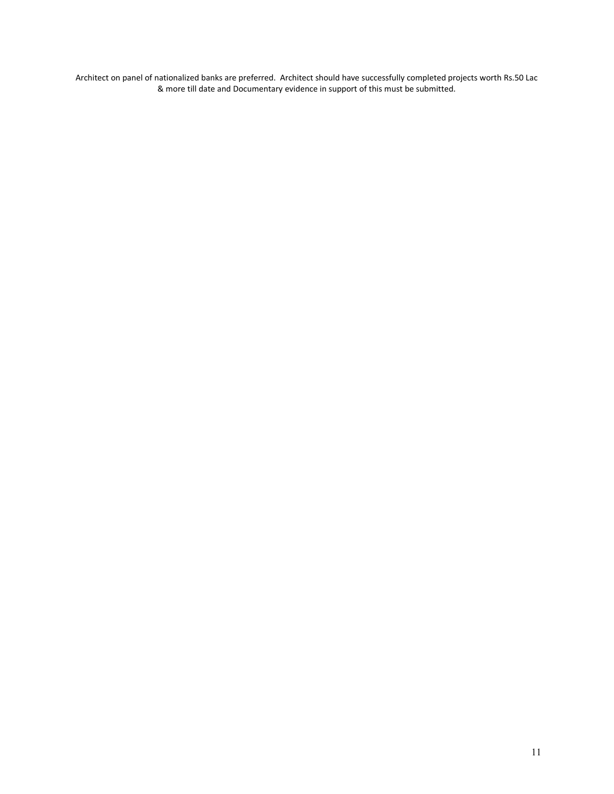Architect on panel of nationalized banks are preferred. Architect should have successfully completed projects worth Rs.50 Lac & more till date and Documentary evidence in support of this must be submitted.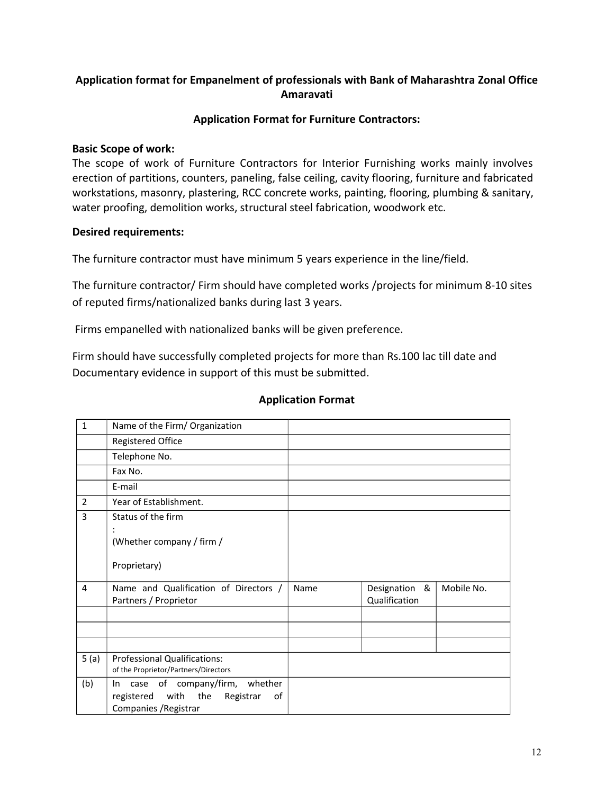# **Application format for Empanelment of professionals with Bank of Maharashtra Zonal Office Amaravati**

# **Application Format for Furniture Contractors:**

## **Basic Scope of work:**

The scope of work of Furniture Contractors for Interior Furnishing works mainly involves erection of partitions, counters, paneling, false ceiling, cavity flooring, furniture and fabricated workstations, masonry, plastering, RCC concrete works, painting, flooring, plumbing & sanitary, water proofing, demolition works, structural steel fabrication, woodwork etc.

# **Desired requirements:**

The furniture contractor must have minimum 5 years experience in the line/field.

The furniture contractor/ Firm should have completed works /projects for minimum 8-10 sites of reputed firms/nationalized banks during last 3 years.

Firms empanelled with nationalized banks will be given preference.

Firm should have successfully completed projects for more than Rs.100 lac till date and Documentary evidence in support of this must be submitted.

## **Application Format**

| $\mathbf{1}$   | Name of the Firm/ Organization                                                                            |      |                                |            |
|----------------|-----------------------------------------------------------------------------------------------------------|------|--------------------------------|------------|
|                | Registered Office                                                                                         |      |                                |            |
|                | Telephone No.                                                                                             |      |                                |            |
|                | Fax No.                                                                                                   |      |                                |            |
|                | E-mail                                                                                                    |      |                                |            |
| $\overline{2}$ | Year of Establishment.                                                                                    |      |                                |            |
| 3              | Status of the firm<br>(Whether company / firm /<br>Proprietary)                                           |      |                                |            |
| 4              | Name and Qualification of Directors /<br>Partners / Proprietor                                            | Name | Designation &<br>Qualification | Mobile No. |
|                |                                                                                                           |      |                                |            |
|                |                                                                                                           |      |                                |            |
|                |                                                                                                           |      |                                |            |
| 5(a)           | <b>Professional Qualifications:</b><br>of the Proprietor/Partners/Directors                               |      |                                |            |
| (b)            | In case of company/firm, whether<br>with<br>the<br>registered<br>Registrar<br>οf<br>Companies / Registrar |      |                                |            |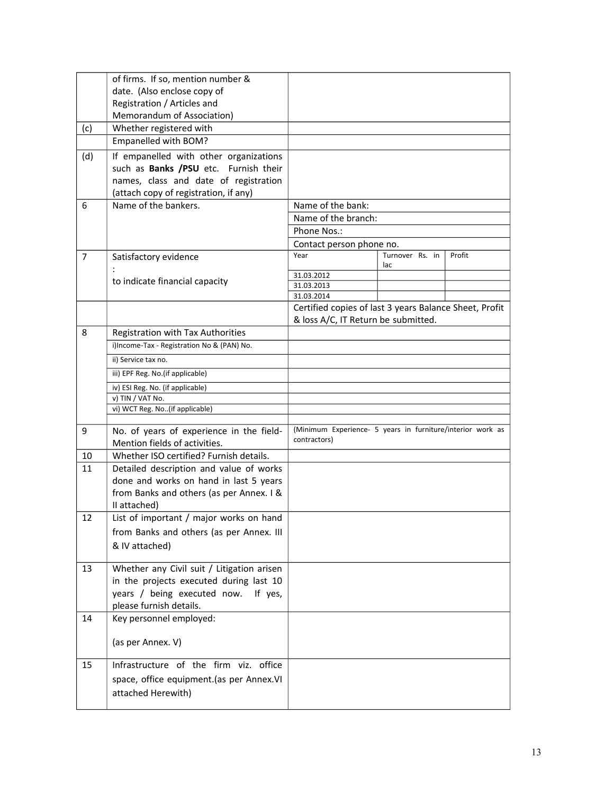|                | of firms. If so, mention number &                                                     |                                                                                               |                        |        |
|----------------|---------------------------------------------------------------------------------------|-----------------------------------------------------------------------------------------------|------------------------|--------|
|                | date. (Also enclose copy of                                                           |                                                                                               |                        |        |
|                | Registration / Articles and                                                           |                                                                                               |                        |        |
|                | Memorandum of Association)                                                            |                                                                                               |                        |        |
| (c)            | Whether registered with                                                               |                                                                                               |                        |        |
|                | Empanelled with BOM?                                                                  |                                                                                               |                        |        |
| (d)            | If empanelled with other organizations                                                |                                                                                               |                        |        |
|                | such as <b>Banks /PSU</b> etc. Furnish their                                          |                                                                                               |                        |        |
|                | names, class and date of registration                                                 |                                                                                               |                        |        |
|                | (attach copy of registration, if any)                                                 |                                                                                               |                        |        |
| 6              | Name of the bankers.                                                                  | Name of the bank:                                                                             |                        |        |
|                |                                                                                       | Name of the branch:                                                                           |                        |        |
|                |                                                                                       | Phone Nos.:                                                                                   |                        |        |
|                |                                                                                       | Contact person phone no.                                                                      |                        |        |
| $\overline{7}$ | Satisfactory evidence                                                                 | Year                                                                                          | Turnover Rs. in<br>lac | Profit |
|                | to indicate financial capacity                                                        | 31.03.2012                                                                                    |                        |        |
|                |                                                                                       | 31.03.2013                                                                                    |                        |        |
|                |                                                                                       | 31.03.2014                                                                                    |                        |        |
|                |                                                                                       | Certified copies of last 3 years Balance Sheet, Profit<br>& loss A/C, IT Return be submitted. |                        |        |
| 8              | Registration with Tax Authorities                                                     |                                                                                               |                        |        |
|                | i)Income-Tax - Registration No & (PAN) No.                                            |                                                                                               |                        |        |
|                |                                                                                       |                                                                                               |                        |        |
|                | ii) Service tax no.                                                                   |                                                                                               |                        |        |
|                | iii) EPF Reg. No. (if applicable)                                                     |                                                                                               |                        |        |
|                | iv) ESI Reg. No. (if applicable)                                                      |                                                                                               |                        |        |
|                | v) TIN / VAT No.<br>vi) WCT Reg. No(if applicable)                                    |                                                                                               |                        |        |
|                |                                                                                       |                                                                                               |                        |        |
| 9              | No. of years of experience in the field-                                              | (Minimum Experience- 5 years in furniture/interior work as                                    |                        |        |
|                | Mention fields of activities.                                                         | contractors)                                                                                  |                        |        |
| 10             | Whether ISO certified? Furnish details.                                               |                                                                                               |                        |        |
| 11             | Detailed description and value of works                                               |                                                                                               |                        |        |
|                | done and works on hand in last 5 years                                                |                                                                                               |                        |        |
|                | from Banks and others (as per Annex. I &                                              |                                                                                               |                        |        |
|                | II attached)                                                                          |                                                                                               |                        |        |
| 12             | List of important / major works on hand                                               |                                                                                               |                        |        |
|                | from Banks and others (as per Annex. III                                              |                                                                                               |                        |        |
|                | & IV attached)                                                                        |                                                                                               |                        |        |
|                |                                                                                       |                                                                                               |                        |        |
| 13             | Whether any Civil suit / Litigation arisen<br>in the projects executed during last 10 |                                                                                               |                        |        |
|                |                                                                                       |                                                                                               |                        |        |
|                | years / being executed now. If yes,<br>please furnish details.                        |                                                                                               |                        |        |
| 14             | Key personnel employed:                                                               |                                                                                               |                        |        |
|                |                                                                                       |                                                                                               |                        |        |
|                | (as per Annex. V)                                                                     |                                                                                               |                        |        |
|                |                                                                                       |                                                                                               |                        |        |
| 15             | Infrastructure of the firm viz. office                                                |                                                                                               |                        |        |
|                | space, office equipment.(as per Annex.VI                                              |                                                                                               |                        |        |
|                | attached Herewith)                                                                    |                                                                                               |                        |        |
|                |                                                                                       |                                                                                               |                        |        |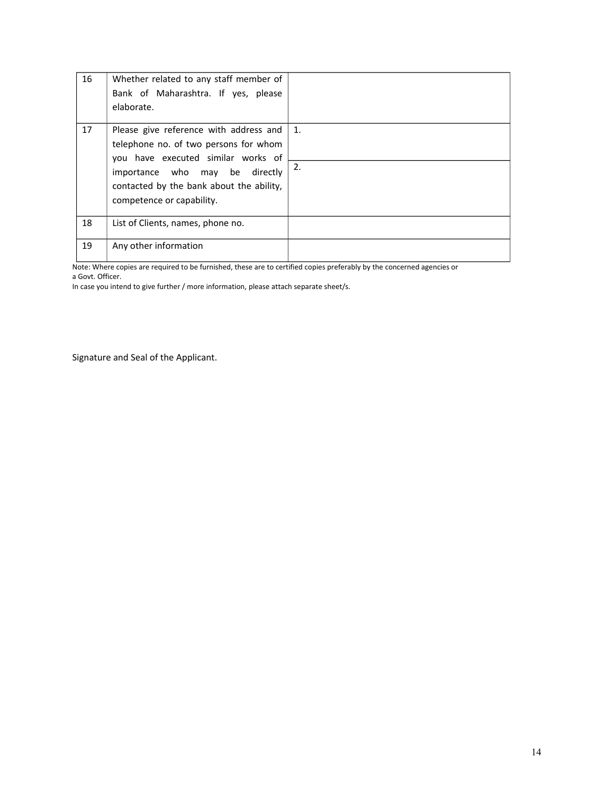| 16 | Whether related to any staff member of<br>Bank of Maharashtra. If yes, please<br>elaborate.                                                                                                                                         |          |
|----|-------------------------------------------------------------------------------------------------------------------------------------------------------------------------------------------------------------------------------------|----------|
| 17 | Please give reference with address and<br>telephone no. of two persons for whom<br>you have executed similar works of<br>importance who may be<br>directly<br>contacted by the bank about the ability,<br>competence or capability. | 1.<br>2. |
| 18 | List of Clients, names, phone no.                                                                                                                                                                                                   |          |
| 19 | Any other information                                                                                                                                                                                                               |          |

Note: Where copies are required to be furnished, these are to certified copies preferably by the concerned agencies or

a Govt. Officer.

In case you intend to give further / more information, please attach separate sheet/s.

Signature and Seal of the Applicant.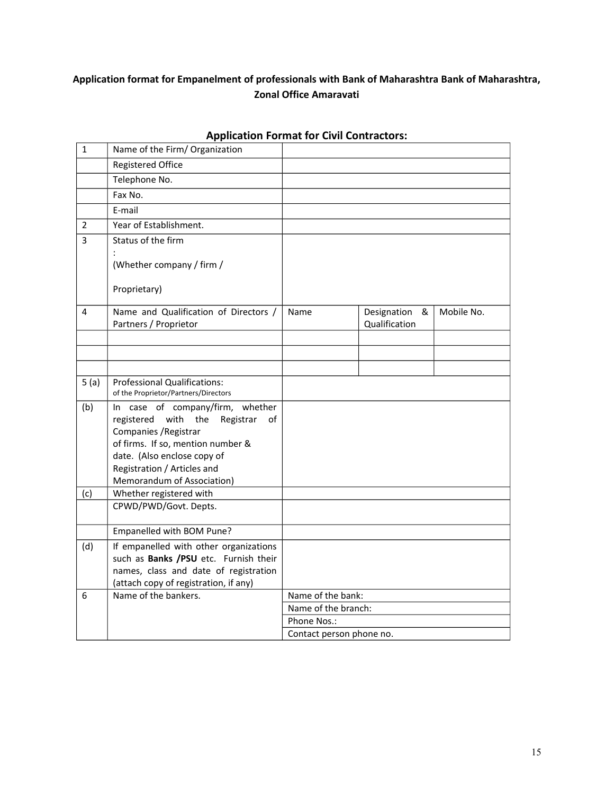# **Application format for Empanelment of professionals with Bank of Maharashtra Bank of Maharashtra, Zonal Office Amaravati**

| $\mathbf{1}$<br>Name of the Firm/ Organization                                                                   |            |
|------------------------------------------------------------------------------------------------------------------|------------|
| <b>Registered Office</b>                                                                                         |            |
| Telephone No.                                                                                                    |            |
| Fax No.                                                                                                          |            |
| E-mail                                                                                                           |            |
| Year of Establishment.<br>$\overline{2}$                                                                         |            |
| 3<br>Status of the firm                                                                                          |            |
|                                                                                                                  |            |
| (Whether company / firm /                                                                                        |            |
| Proprietary)                                                                                                     |            |
|                                                                                                                  |            |
| Name and Qualification of Directors /<br>4<br>Name<br>Designation<br>&<br>Qualification<br>Partners / Proprietor | Mobile No. |
|                                                                                                                  |            |
|                                                                                                                  |            |
|                                                                                                                  |            |
| <b>Professional Qualifications:</b><br>5(a)<br>of the Proprietor/Partners/Directors                              |            |
| (b)<br>In case of company/firm, whether                                                                          |            |
| registered with<br>the<br>Registrar<br>0f<br>Companies / Registrar                                               |            |
| of firms. If so, mention number &                                                                                |            |
| date. (Also enclose copy of                                                                                      |            |
| Registration / Articles and                                                                                      |            |
| Memorandum of Association)                                                                                       |            |
| Whether registered with<br>(c)<br>CPWD/PWD/Govt. Depts.                                                          |            |
|                                                                                                                  |            |
| Empanelled with BOM Pune?                                                                                        |            |
| (d)<br>If empanelled with other organizations                                                                    |            |
| such as Banks /PSU etc. Furnish their                                                                            |            |
| names, class and date of registration                                                                            |            |
| (attach copy of registration, if any)<br>Name of the bankers.<br>Name of the bank:<br>6                          |            |
|                                                                                                                  |            |
|                                                                                                                  |            |
| Name of the branch:<br>Phone Nos.:                                                                               |            |

# **Application Format for Civil Contractors:**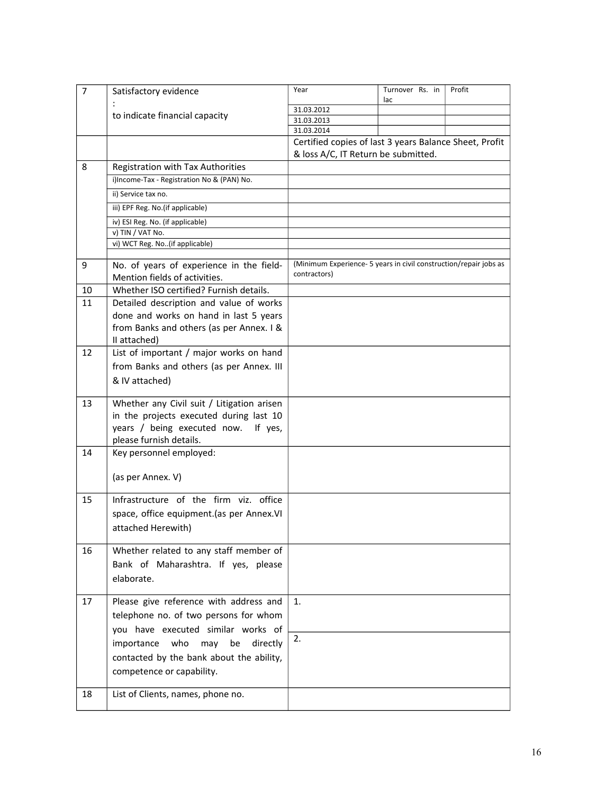| $\overline{7}$ | Satisfactory evidence                      | Year                                                              | Turnover Rs. in<br>lac | Profit |
|----------------|--------------------------------------------|-------------------------------------------------------------------|------------------------|--------|
|                |                                            | 31.03.2012                                                        |                        |        |
|                | to indicate financial capacity             | 31.03.2013                                                        |                        |        |
|                |                                            | 31.03.2014                                                        |                        |        |
|                |                                            | Certified copies of last 3 years Balance Sheet, Profit            |                        |        |
|                |                                            | & loss A/C, IT Return be submitted.                               |                        |        |
| 8              | Registration with Tax Authorities          |                                                                   |                        |        |
|                | i)Income-Tax - Registration No & (PAN) No. |                                                                   |                        |        |
|                | ii) Service tax no.                        |                                                                   |                        |        |
|                | iii) EPF Reg. No. (if applicable)          |                                                                   |                        |        |
|                | iv) ESI Reg. No. (if applicable)           |                                                                   |                        |        |
|                | v) TIN / VAT No.                           |                                                                   |                        |        |
|                | vi) WCT Reg. No(if applicable)             |                                                                   |                        |        |
|                |                                            |                                                                   |                        |        |
| 9              | No. of years of experience in the field-   | (Minimum Experience- 5 years in civil construction/repair jobs as |                        |        |
|                | Mention fields of activities.              | contractors)                                                      |                        |        |
| 10             | Whether ISO certified? Furnish details.    |                                                                   |                        |        |
| 11             | Detailed description and value of works    |                                                                   |                        |        |
|                | done and works on hand in last 5 years     |                                                                   |                        |        |
|                | from Banks and others (as per Annex. I &   |                                                                   |                        |        |
|                | II attached)                               |                                                                   |                        |        |
| 12             | List of important / major works on hand    |                                                                   |                        |        |
|                | from Banks and others (as per Annex. III   |                                                                   |                        |        |
|                | & IV attached)                             |                                                                   |                        |        |
|                |                                            |                                                                   |                        |        |
| 13             | Whether any Civil suit / Litigation arisen |                                                                   |                        |        |
|                | in the projects executed during last 10    |                                                                   |                        |        |
|                | years / being executed now.<br>If yes,     |                                                                   |                        |        |
|                | please furnish details.                    |                                                                   |                        |        |
| 14             | Key personnel employed:                    |                                                                   |                        |        |
|                |                                            |                                                                   |                        |        |
|                | (as per Annex. V)                          |                                                                   |                        |        |
|                |                                            |                                                                   |                        |        |
| 15             | Infrastructure of the firm viz. office     |                                                                   |                        |        |
|                | space, office equipment.(as per Annex.VI   |                                                                   |                        |        |
|                | attached Herewith)                         |                                                                   |                        |        |
|                |                                            |                                                                   |                        |        |
| 16             | Whether related to any staff member of     |                                                                   |                        |        |
|                | Bank of Maharashtra. If yes, please        |                                                                   |                        |        |
|                | elaborate.                                 |                                                                   |                        |        |
|                |                                            |                                                                   |                        |        |
| 17             | Please give reference with address and     | 1.                                                                |                        |        |
|                | telephone no. of two persons for whom      |                                                                   |                        |        |
|                | you have executed similar works of         |                                                                   |                        |        |
|                | who<br>importance<br>may<br>be<br>directly | 2.                                                                |                        |        |
|                | contacted by the bank about the ability,   |                                                                   |                        |        |
|                |                                            |                                                                   |                        |        |
|                | competence or capability.                  |                                                                   |                        |        |
| 18             | List of Clients, names, phone no.          |                                                                   |                        |        |
|                |                                            |                                                                   |                        |        |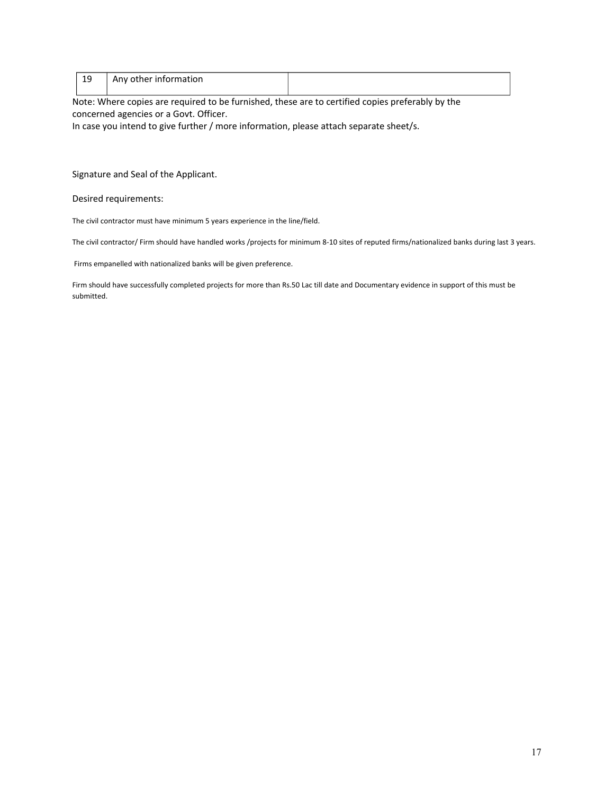| 1 C<br>ᅩ | Any other information |  |
|----------|-----------------------|--|
|          |                       |  |

Note: Where copies are required to be furnished, these are to certified copies preferably by the concerned agencies or a Govt. Officer.

In case you intend to give further / more information, please attach separate sheet/s.

Signature and Seal of the Applicant.

Desired requirements:

The civil contractor must have minimum 5 years experience in the line/field.

The civil contractor/ Firm should have handled works /projects for minimum 8-10 sites of reputed firms/nationalized banks during last 3 years.

Firms empanelled with nationalized banks will be given preference.

Firm should have successfully completed projects for more than Rs.50 Lac till date and Documentary evidence in support of this must be submitted.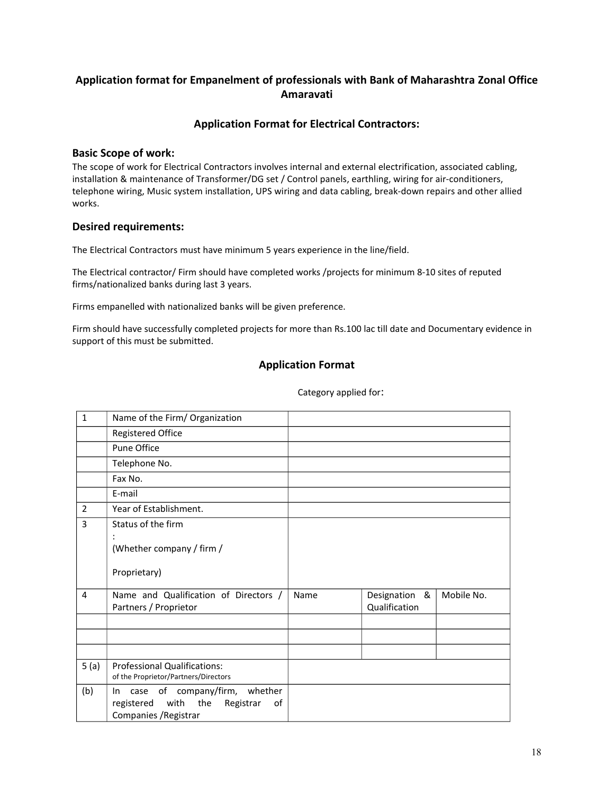# **Application format for Empanelment of professionals with Bank of Maharashtra Zonal Office Amaravati**

## **Application Format for Electrical Contractors:**

### **Basic Scope of work:**

The scope of work for Electrical Contractors involves internal and external electrification, associated cabling, installation & maintenance of Transformer/DG set / Control panels, earthling, wiring for air-conditioners, telephone wiring, Music system installation, UPS wiring and data cabling, break-down repairs and other allied works.

### **Desired requirements:**

The Electrical Contractors must have minimum 5 years experience in the line/field.

The Electrical contractor/ Firm should have completed works /projects for minimum 8-10 sites of reputed firms/nationalized banks during last 3 years.

Firms empanelled with nationalized banks will be given preference.

Firm should have successfully completed projects for more than Rs.100 lac till date and Documentary evidence in support of this must be submitted.

### **Application Format**

| $\mathbf{1}$   | Name of the Firm/ Organization               |      |                  |            |
|----------------|----------------------------------------------|------|------------------|------------|
|                | <b>Registered Office</b>                     |      |                  |            |
|                | Pune Office                                  |      |                  |            |
|                | Telephone No.                                |      |                  |            |
|                | Fax No.                                      |      |                  |            |
|                | E-mail                                       |      |                  |            |
| $\overline{2}$ | Year of Establishment.                       |      |                  |            |
| 3              | Status of the firm                           |      |                  |            |
|                | $\cdot$                                      |      |                  |            |
|                | (Whether company / firm /                    |      |                  |            |
|                | Proprietary)                                 |      |                  |            |
| 4              | Name and Qualification of Directors /        | Name | Designation<br>& | Mobile No. |
|                | Partners / Proprietor                        |      | Qualification    |            |
|                |                                              |      |                  |            |
|                |                                              |      |                  |            |
|                |                                              |      |                  |            |
| 5(a)           | <b>Professional Qualifications:</b>          |      |                  |            |
|                | of the Proprietor/Partners/Directors         |      |                  |            |
| (b)            | In case of company/firm, whether             |      |                  |            |
|                | the<br>Registrar<br>registered<br>with<br>0f |      |                  |            |
|                | Companies / Registrar                        |      |                  |            |

Category applied for: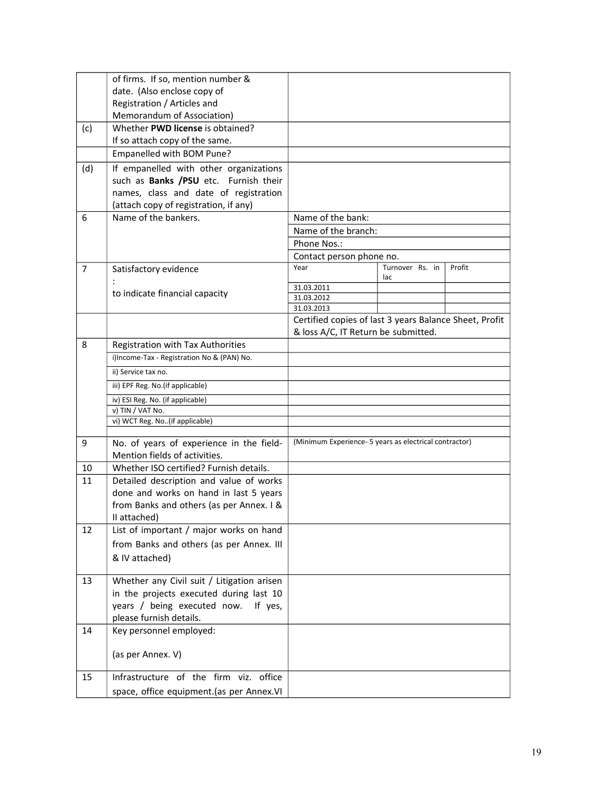|                | of firms. If so, mention number &                                               |                                                        |                 |        |
|----------------|---------------------------------------------------------------------------------|--------------------------------------------------------|-----------------|--------|
|                | date. (Also enclose copy of                                                     |                                                        |                 |        |
|                | Registration / Articles and                                                     |                                                        |                 |        |
|                | Memorandum of Association)                                                      |                                                        |                 |        |
| (c)            | Whether PWD license is obtained?<br>If so attach copy of the same.              |                                                        |                 |        |
|                | Empanelled with BOM Pune?                                                       |                                                        |                 |        |
|                |                                                                                 |                                                        |                 |        |
| (d)            | If empanelled with other organizations<br>such as Banks /PSU etc. Furnish their |                                                        |                 |        |
|                | names, class and date of registration                                           |                                                        |                 |        |
|                | (attach copy of registration, if any)                                           |                                                        |                 |        |
| 6              | Name of the bankers.                                                            | Name of the bank:                                      |                 |        |
|                |                                                                                 | Name of the branch:                                    |                 |        |
|                |                                                                                 | Phone Nos.:                                            |                 |        |
|                |                                                                                 | Contact person phone no.                               |                 |        |
| $\overline{7}$ | Satisfactory evidence                                                           | Year                                                   | Turnover Rs. in | Profit |
|                |                                                                                 |                                                        | lac             |        |
|                | to indicate financial capacity                                                  | 31.03.2011                                             |                 |        |
|                |                                                                                 | 31.03.2012<br>31.03.2013                               |                 |        |
|                |                                                                                 | Certified copies of last 3 years Balance Sheet, Profit |                 |        |
|                |                                                                                 | & loss A/C, IT Return be submitted.                    |                 |        |
| 8              | Registration with Tax Authorities                                               |                                                        |                 |        |
|                | i)Income-Tax - Registration No & (PAN) No.                                      |                                                        |                 |        |
|                | ii) Service tax no.                                                             |                                                        |                 |        |
|                | iii) EPF Reg. No.(if applicable)                                                |                                                        |                 |        |
|                |                                                                                 |                                                        |                 |        |
|                | iv) ESI Reg. No. (if applicable)<br>v) TIN / VAT No.                            |                                                        |                 |        |
|                | vi) WCT Reg. No(if applicable)                                                  |                                                        |                 |        |
|                |                                                                                 |                                                        |                 |        |
| 9              | No. of years of experience in the field-                                        | (Minimum Experience- 5 years as electrical contractor) |                 |        |
|                | Mention fields of activities.                                                   |                                                        |                 |        |
| 10             | Whether ISO certified? Furnish details.                                         |                                                        |                 |        |
| 11             | Detailed description and value of works                                         |                                                        |                 |        |
|                | done and works on hand in last 5 years                                          |                                                        |                 |        |
|                | from Banks and others (as per Annex. I &                                        |                                                        |                 |        |
|                | II attached)                                                                    |                                                        |                 |        |
| 12             | List of important / major works on hand                                         |                                                        |                 |        |
|                | from Banks and others (as per Annex. III                                        |                                                        |                 |        |
|                | & IV attached)                                                                  |                                                        |                 |        |
| 13             | Whether any Civil suit / Litigation arisen                                      |                                                        |                 |        |
|                | in the projects executed during last 10                                         |                                                        |                 |        |
|                | years / being executed now.<br>If yes,                                          |                                                        |                 |        |
|                | please furnish details.                                                         |                                                        |                 |        |
| 14             | Key personnel employed:                                                         |                                                        |                 |        |
|                |                                                                                 |                                                        |                 |        |
|                | (as per Annex. V)                                                               |                                                        |                 |        |
|                |                                                                                 |                                                        |                 |        |
| 15             | Infrastructure of the firm viz. office                                          |                                                        |                 |        |
|                | space, office equipment.(as per Annex.VI                                        |                                                        |                 |        |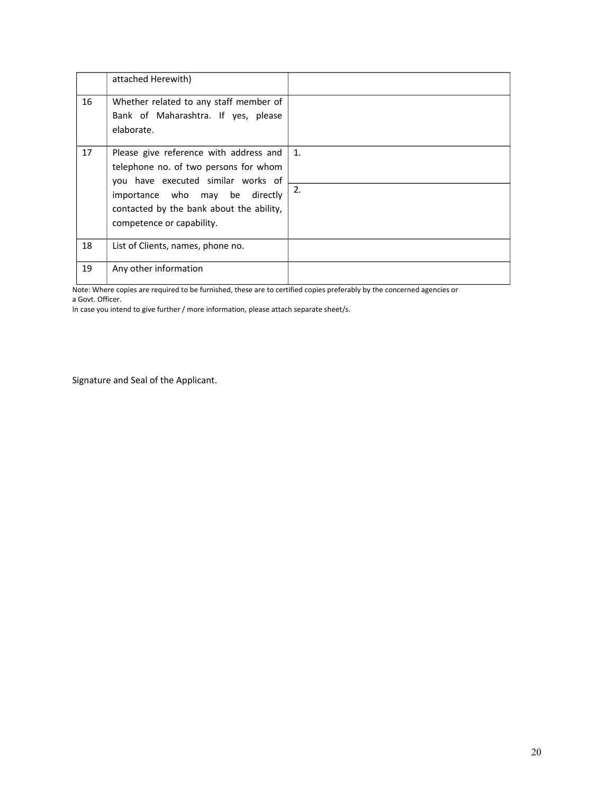|    | attached Herewith)                                                                                                                                                                                                               |          |
|----|----------------------------------------------------------------------------------------------------------------------------------------------------------------------------------------------------------------------------------|----------|
| 16 | Whether related to any staff member of<br>Bank of Maharashtra. If yes, please<br>elaborate.                                                                                                                                      |          |
| 17 | Please give reference with address and<br>telephone no. of two persons for whom<br>you have executed similar works of<br>importance who may be directly<br>contacted by the bank about the ability,<br>competence or capability. | 1.<br>2. |
| 18 | List of Clients, names, phone no.                                                                                                                                                                                                |          |
| 19 | Any other information                                                                                                                                                                                                            |          |

Note: Where copies are required to be furnished, these are to certified copies preferably by the concerned agencies or a Govt. Officer.

In case you intend to give further / more information, please attach separate sheet/s.

Signature and Seal of the Applicant.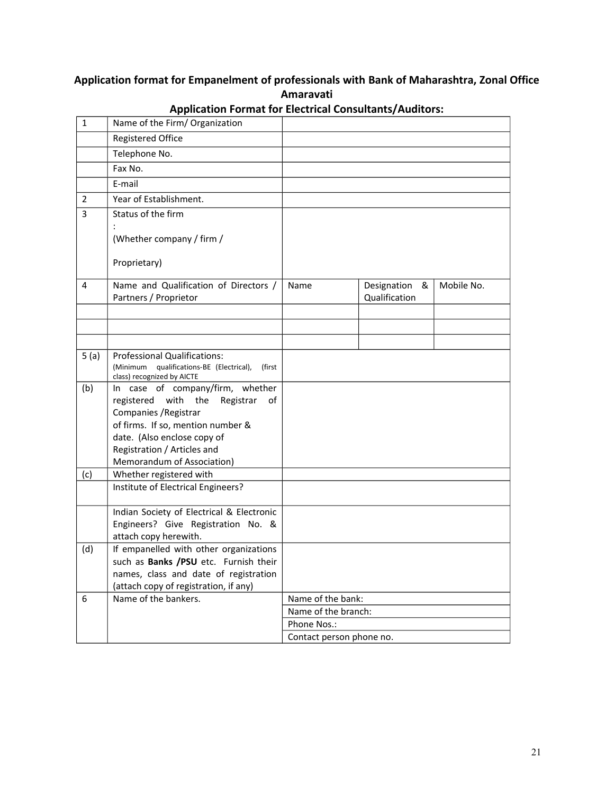# **Application format for Empanelment of professionals with Bank of Maharashtra, Zonal Office Amaravati**

| $\mathbf{1}$   | Name of the Firm/ Organization                                                                                                                                                                                                             |                          |                                   |            |
|----------------|--------------------------------------------------------------------------------------------------------------------------------------------------------------------------------------------------------------------------------------------|--------------------------|-----------------------------------|------------|
|                | <b>Registered Office</b>                                                                                                                                                                                                                   |                          |                                   |            |
|                | Telephone No.                                                                                                                                                                                                                              |                          |                                   |            |
|                | Fax No.                                                                                                                                                                                                                                    |                          |                                   |            |
|                | E-mail                                                                                                                                                                                                                                     |                          |                                   |            |
| $\overline{2}$ | Year of Establishment.                                                                                                                                                                                                                     |                          |                                   |            |
| 3              | Status of the firm                                                                                                                                                                                                                         |                          |                                   |            |
|                | (Whether company / firm /                                                                                                                                                                                                                  |                          |                                   |            |
|                | Proprietary)                                                                                                                                                                                                                               |                          |                                   |            |
| 4              | Name and Qualification of Directors /<br>Partners / Proprietor                                                                                                                                                                             | Name                     | Designation<br>&<br>Qualification | Mobile No. |
|                |                                                                                                                                                                                                                                            |                          |                                   |            |
|                |                                                                                                                                                                                                                                            |                          |                                   |            |
|                |                                                                                                                                                                                                                                            |                          |                                   |            |
| 5(a)           | Professional Qualifications:<br>(Minimum qualifications-BE (Electrical),<br>(first<br>class) recognized by AICTE                                                                                                                           |                          |                                   |            |
| (b)            | In case of company/firm, whether<br>the<br>registered<br>with<br>Registrar<br>οf<br>Companies / Registrar<br>of firms. If so, mention number &<br>date. (Also enclose copy of<br>Registration / Articles and<br>Memorandum of Association) |                          |                                   |            |
| (c)            | Whether registered with                                                                                                                                                                                                                    |                          |                                   |            |
|                | Institute of Electrical Engineers?                                                                                                                                                                                                         |                          |                                   |            |
|                | Indian Society of Electrical & Electronic<br>Engineers? Give Registration No. &<br>attach copy herewith.                                                                                                                                   |                          |                                   |            |
| (d)            | If empanelled with other organizations<br>such as Banks /PSU etc. Furnish their<br>names, class and date of registration<br>(attach copy of registration, if any)                                                                          |                          |                                   |            |
| 6              | Name of the bankers.                                                                                                                                                                                                                       | Name of the bank:        |                                   |            |
|                |                                                                                                                                                                                                                                            | Name of the branch:      |                                   |            |
|                |                                                                                                                                                                                                                                            | Phone Nos.:              |                                   |            |
|                |                                                                                                                                                                                                                                            | Contact person phone no. |                                   |            |

**Application Format for Electrical Consultants/Auditors:**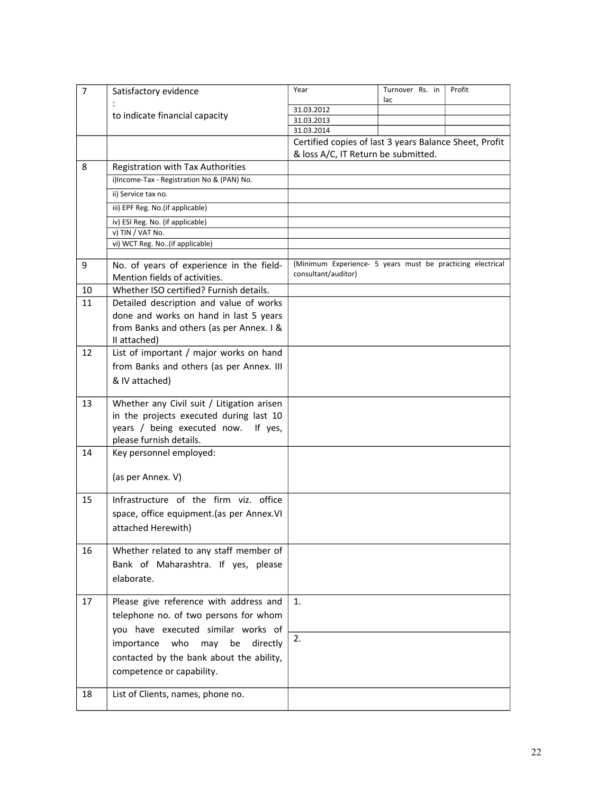| 7  | Satisfactory evidence                      | Year                                                       | Turnover Rs. in<br>lac | Profit |
|----|--------------------------------------------|------------------------------------------------------------|------------------------|--------|
|    |                                            | 31.03.2012                                                 |                        |        |
|    | to indicate financial capacity             | 31.03.2013                                                 |                        |        |
|    |                                            | 31.03.2014                                                 |                        |        |
|    |                                            | Certified copies of last 3 years Balance Sheet, Profit     |                        |        |
|    |                                            | & loss A/C, IT Return be submitted.                        |                        |        |
| 8  | Registration with Tax Authorities          |                                                            |                        |        |
|    | i)Income-Tax - Registration No & (PAN) No. |                                                            |                        |        |
|    | ii) Service tax no.                        |                                                            |                        |        |
|    | iii) EPF Reg. No.(if applicable)           |                                                            |                        |        |
|    | iv) ESI Reg. No. (if applicable)           |                                                            |                        |        |
|    | v) TIN / VAT No.                           |                                                            |                        |        |
|    | vi) WCT Reg. No(if applicable)             |                                                            |                        |        |
|    |                                            |                                                            |                        |        |
| 9  | No. of years of experience in the field-   | (Minimum Experience- 5 years must be practicing electrical |                        |        |
|    | Mention fields of activities.              | consultant/auditor)                                        |                        |        |
| 10 | Whether ISO certified? Furnish details.    |                                                            |                        |        |
| 11 | Detailed description and value of works    |                                                            |                        |        |
|    | done and works on hand in last 5 years     |                                                            |                        |        |
|    | from Banks and others (as per Annex. I &   |                                                            |                        |        |
|    | II attached)                               |                                                            |                        |        |
| 12 | List of important / major works on hand    |                                                            |                        |        |
|    | from Banks and others (as per Annex. III   |                                                            |                        |        |
|    | & IV attached)                             |                                                            |                        |        |
|    |                                            |                                                            |                        |        |
| 13 | Whether any Civil suit / Litigation arisen |                                                            |                        |        |
|    | in the projects executed during last 10    |                                                            |                        |        |
|    | years / being executed now.<br>If yes,     |                                                            |                        |        |
|    | please furnish details.                    |                                                            |                        |        |
| 14 | Key personnel employed:                    |                                                            |                        |        |
|    |                                            |                                                            |                        |        |
|    | (as per Annex. V)                          |                                                            |                        |        |
|    |                                            |                                                            |                        |        |
| 15 | Infrastructure of the firm viz. office     |                                                            |                        |        |
|    | space, office equipment.(as per Annex.VI   |                                                            |                        |        |
|    | attached Herewith)                         |                                                            |                        |        |
|    |                                            |                                                            |                        |        |
| 16 | Whether related to any staff member of     |                                                            |                        |        |
|    | Bank of Maharashtra. If yes, please        |                                                            |                        |        |
|    | elaborate.                                 |                                                            |                        |        |
|    |                                            |                                                            |                        |        |
| 17 | Please give reference with address and     | 1.                                                         |                        |        |
|    | telephone no. of two persons for whom      |                                                            |                        |        |
|    | you have executed similar works of         |                                                            |                        |        |
|    | importance<br>who<br>may<br>be<br>directly | 2.                                                         |                        |        |
|    | contacted by the bank about the ability,   |                                                            |                        |        |
|    | competence or capability.                  |                                                            |                        |        |
|    |                                            |                                                            |                        |        |
| 18 | List of Clients, names, phone no.          |                                                            |                        |        |
|    |                                            |                                                            |                        |        |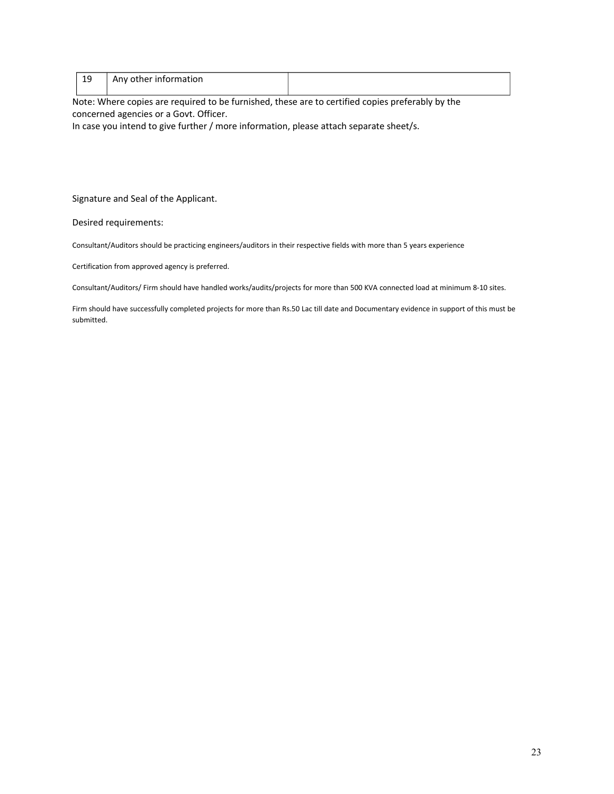| ᅩ | Any other information |  |
|---|-----------------------|--|
|   |                       |  |

Note: Where copies are required to be furnished, these are to certified copies preferably by the concerned agencies or a Govt. Officer.

In case you intend to give further / more information, please attach separate sheet/s.

Signature and Seal of the Applicant.

Desired requirements:

Consultant/Auditors should be practicing engineers/auditors in their respective fields with more than 5 years experience

Certification from approved agency is preferred.

Consultant/Auditors/ Firm should have handled works/audits/projects for more than 500 KVA connected load at minimum 8-10 sites.

Firm should have successfully completed projects for more than Rs.50 Lac till date and Documentary evidence in support of this must be submitted.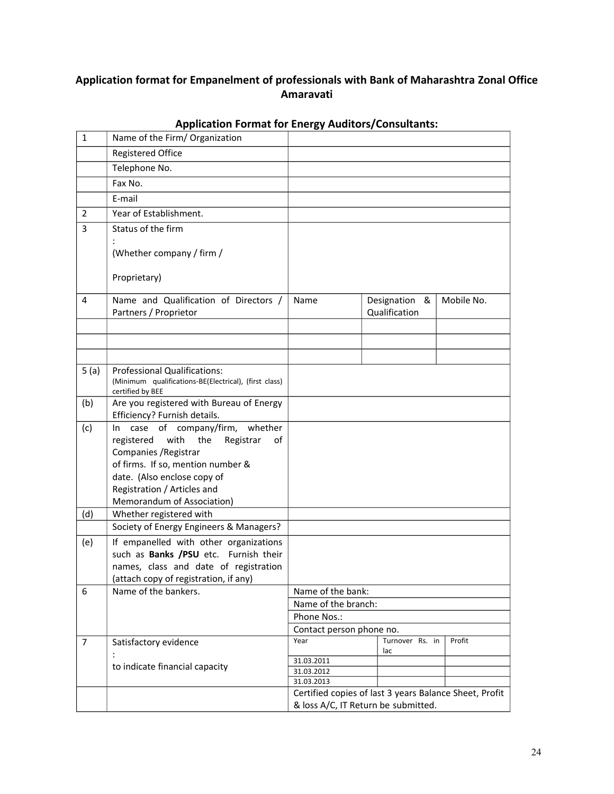# **Application format for Empanelment of professionals with Bank of Maharashtra Zonal Office Amaravati**

| $\mathbf{1}$   | Name of the Firm/ Organization                                                 |                                                                                               |                        |            |
|----------------|--------------------------------------------------------------------------------|-----------------------------------------------------------------------------------------------|------------------------|------------|
|                | Registered Office                                                              |                                                                                               |                        |            |
|                | Telephone No.                                                                  |                                                                                               |                        |            |
|                | Fax No.                                                                        |                                                                                               |                        |            |
|                | E-mail                                                                         |                                                                                               |                        |            |
| $\overline{2}$ | Year of Establishment.                                                         |                                                                                               |                        |            |
| 3              | Status of the firm                                                             |                                                                                               |                        |            |
|                |                                                                                |                                                                                               |                        |            |
|                | (Whether company / firm /                                                      |                                                                                               |                        |            |
|                | Proprietary)                                                                   |                                                                                               |                        |            |
| 4              | Name and Qualification of Directors /                                          | Name                                                                                          | Designation &          | Mobile No. |
|                | Partners / Proprietor                                                          |                                                                                               | Qualification          |            |
|                |                                                                                |                                                                                               |                        |            |
|                |                                                                                |                                                                                               |                        |            |
|                |                                                                                |                                                                                               |                        |            |
| 5(a)           | <b>Professional Qualifications:</b>                                            |                                                                                               |                        |            |
|                | (Minimum qualifications-BE(Electrical), (first class)<br>certified by BEE      |                                                                                               |                        |            |
| (b)            | Are you registered with Bureau of Energy                                       |                                                                                               |                        |            |
|                | Efficiency? Furnish details.                                                   |                                                                                               |                        |            |
| (c)            | case of company/firm,<br>whether<br>In In                                      |                                                                                               |                        |            |
|                | registered<br>the<br>with<br>Registrar<br>of                                   |                                                                                               |                        |            |
|                | Companies / Registrar<br>of firms. If so, mention number &                     |                                                                                               |                        |            |
|                | date. (Also enclose copy of                                                    |                                                                                               |                        |            |
|                | Registration / Articles and                                                    |                                                                                               |                        |            |
|                | Memorandum of Association)                                                     |                                                                                               |                        |            |
| (d)            | Whether registered with                                                        |                                                                                               |                        |            |
|                | Society of Energy Engineers & Managers?                                        |                                                                                               |                        |            |
| (e)            | If empanelled with other organizations                                         |                                                                                               |                        |            |
|                | such as Banks /PSU etc. Furnish their                                          |                                                                                               |                        |            |
|                | names, class and date of registration<br>(attach copy of registration, if any) |                                                                                               |                        |            |
| 6              | Name of the bankers.                                                           | Name of the bank:                                                                             |                        |            |
|                |                                                                                | Name of the branch:                                                                           |                        |            |
|                |                                                                                | Phone Nos.:                                                                                   |                        |            |
|                |                                                                                | Contact person phone no.                                                                      |                        |            |
| $\overline{7}$ | Satisfactory evidence                                                          | Year                                                                                          | Turnover Rs. in<br>lac | Profit     |
|                |                                                                                | 31.03.2011                                                                                    |                        |            |
|                | to indicate financial capacity                                                 | 31.03.2012                                                                                    |                        |            |
|                |                                                                                | 31.03.2013                                                                                    |                        |            |
|                |                                                                                | Certified copies of last 3 years Balance Sheet, Profit<br>& loss A/C, IT Return be submitted. |                        |            |
|                |                                                                                |                                                                                               |                        |            |

# **Application Format for Energy Auditors/Consultants:**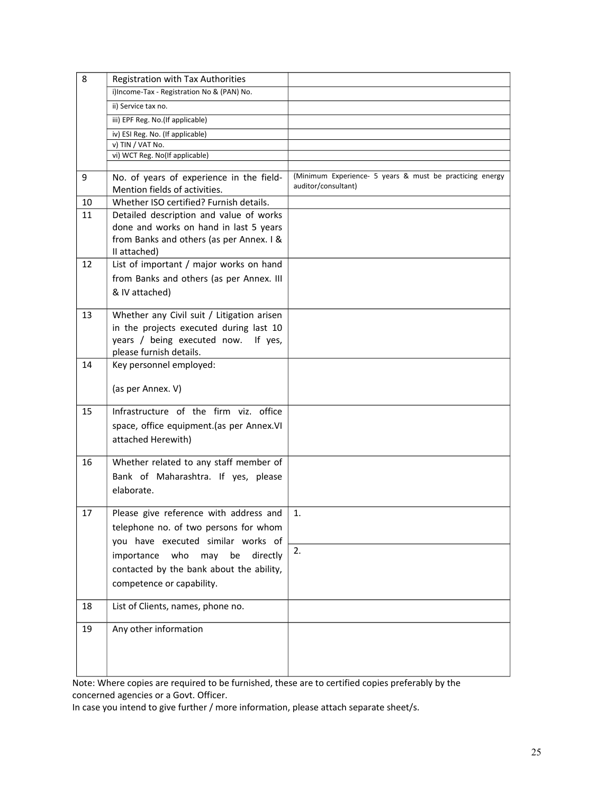| 8  | Registration with Tax Authorities                                                                                                                          |                                                                                 |
|----|------------------------------------------------------------------------------------------------------------------------------------------------------------|---------------------------------------------------------------------------------|
|    | i)Income-Tax - Registration No & (PAN) No.                                                                                                                 |                                                                                 |
|    | ii) Service tax no.                                                                                                                                        |                                                                                 |
|    | iii) EPF Reg. No.(If applicable)                                                                                                                           |                                                                                 |
|    | iv) ESI Reg. No. (If applicable)                                                                                                                           |                                                                                 |
|    | v) TIN / VAT No.                                                                                                                                           |                                                                                 |
|    | vi) WCT Reg. No(If applicable)                                                                                                                             |                                                                                 |
| 9  | No. of years of experience in the field-<br>Mention fields of activities.                                                                                  | (Minimum Experience- 5 years & must be practicing energy<br>auditor/consultant) |
| 10 | Whether ISO certified? Furnish details.                                                                                                                    |                                                                                 |
| 11 | Detailed description and value of works                                                                                                                    |                                                                                 |
|    | done and works on hand in last 5 years<br>from Banks and others (as per Annex. I &<br>II attached)                                                         |                                                                                 |
| 12 | List of important / major works on hand                                                                                                                    |                                                                                 |
|    | from Banks and others (as per Annex. III                                                                                                                   |                                                                                 |
|    | & IV attached)                                                                                                                                             |                                                                                 |
| 13 | Whether any Civil suit / Litigation arisen<br>in the projects executed during last 10<br>years / being executed now.<br>If yes,<br>please furnish details. |                                                                                 |
| 14 | Key personnel employed:                                                                                                                                    |                                                                                 |
|    | (as per Annex. V)                                                                                                                                          |                                                                                 |
| 15 | Infrastructure of the firm viz. office<br>space, office equipment.(as per Annex.VI<br>attached Herewith)                                                   |                                                                                 |
| 16 | Whether related to any staff member of<br>Bank of Maharashtra. If yes, please<br>elaborate.                                                                |                                                                                 |
| 17 | Please give reference with address and<br>telephone no. of two persons for whom<br>you have executed similar works of                                      | 1.                                                                              |
|    | who<br>be<br>importance<br>may<br>directly                                                                                                                 | 2.                                                                              |
|    | contacted by the bank about the ability,                                                                                                                   |                                                                                 |
|    | competence or capability.                                                                                                                                  |                                                                                 |
|    |                                                                                                                                                            |                                                                                 |
| 18 | List of Clients, names, phone no.                                                                                                                          |                                                                                 |
| 19 | Any other information                                                                                                                                      |                                                                                 |
|    |                                                                                                                                                            |                                                                                 |
|    |                                                                                                                                                            |                                                                                 |
|    |                                                                                                                                                            |                                                                                 |

Note: Where copies are required to be furnished, these are to certified copies preferably by the concerned agencies or a Govt. Officer.

In case you intend to give further / more information, please attach separate sheet/s.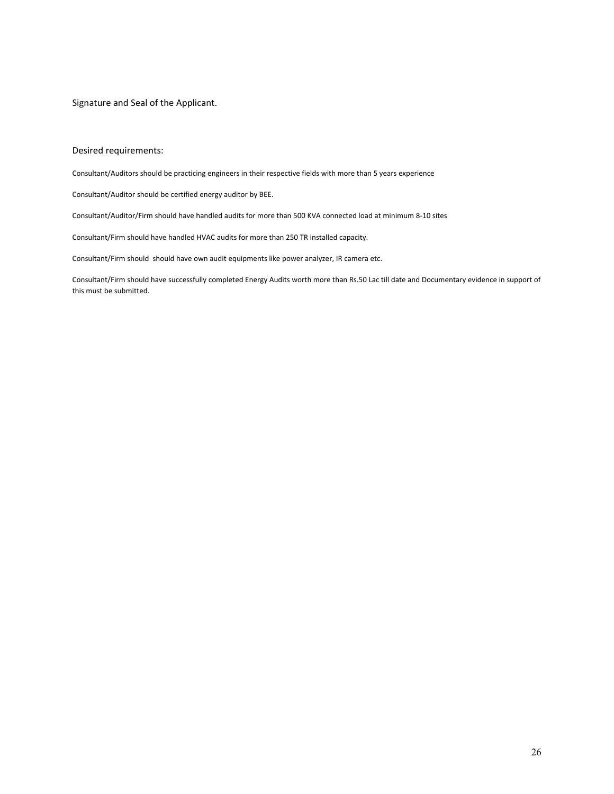Signature and Seal of the Applicant.

#### Desired requirements:

Consultant/Auditors should be practicing engineers in their respective fields with more than 5 years experience

Consultant/Auditor should be certified energy auditor by BEE.

Consultant/Auditor/Firm should have handled audits for more than 500 KVA connected load at minimum 8-10 sites

Consultant/Firm should have handled HVAC audits for more than 250 TR installed capacity.

Consultant/Firm should should have own audit equipments like power analyzer, IR camera etc.

Consultant/Firm should have successfully completed Energy Audits worth more than Rs.50 Lac till date and Documentary evidence in support of this must be submitted.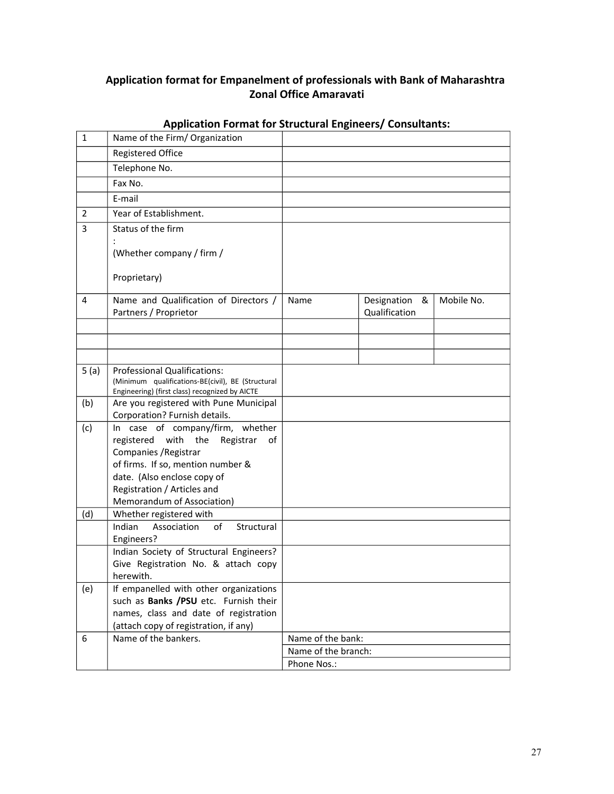# **Application format for Empanelment of professionals with Bank of Maharashtra Zonal Office Amaravati**

| $\mathbf{1}$   | Name of the Firm/ Organization                                                                                                                                                                                                          |                     |                                   |            |
|----------------|-----------------------------------------------------------------------------------------------------------------------------------------------------------------------------------------------------------------------------------------|---------------------|-----------------------------------|------------|
|                | <b>Registered Office</b>                                                                                                                                                                                                                |                     |                                   |            |
|                | Telephone No.                                                                                                                                                                                                                           |                     |                                   |            |
|                | Fax No.                                                                                                                                                                                                                                 |                     |                                   |            |
|                | E-mail                                                                                                                                                                                                                                  |                     |                                   |            |
| $\overline{2}$ | Year of Establishment.                                                                                                                                                                                                                  |                     |                                   |            |
| 3              | Status of the firm                                                                                                                                                                                                                      |                     |                                   |            |
|                | (Whether company / firm /                                                                                                                                                                                                               |                     |                                   |            |
|                | Proprietary)                                                                                                                                                                                                                            |                     |                                   |            |
| 4              | Name and Qualification of Directors /<br>Partners / Proprietor                                                                                                                                                                          | Name                | Designation<br>&<br>Qualification | Mobile No. |
|                |                                                                                                                                                                                                                                         |                     |                                   |            |
|                |                                                                                                                                                                                                                                         |                     |                                   |            |
| 5(a)           | Professional Qualifications:<br>(Minimum qualifications-BE(civil), BE (Structural<br>Engineering) (first class) recognized by AICTE                                                                                                     |                     |                                   |            |
| (b)            | Are you registered with Pune Municipal<br>Corporation? Furnish details.                                                                                                                                                                 |                     |                                   |            |
| (c)            | In case of company/firm, whether<br>registered with<br>the<br>Registrar<br>of<br>Companies / Registrar<br>of firms. If so, mention number &<br>date. (Also enclose copy of<br>Registration / Articles and<br>Memorandum of Association) |                     |                                   |            |
| (d)            | Whether registered with                                                                                                                                                                                                                 |                     |                                   |            |
|                | Indian<br>Association<br>οf<br>Structural<br>Engineers?                                                                                                                                                                                 |                     |                                   |            |
|                | Indian Society of Structural Engineers?<br>Give Registration No. & attach copy<br>herewith.                                                                                                                                             |                     |                                   |            |
| (e)            | If empanelled with other organizations<br>such as Banks /PSU etc. Furnish their<br>names, class and date of registration<br>(attach copy of registration, if any)                                                                       |                     |                                   |            |
| 6              | Name of the bankers.                                                                                                                                                                                                                    | Name of the bank:   |                                   |            |
|                |                                                                                                                                                                                                                                         | Name of the branch: |                                   |            |
|                |                                                                                                                                                                                                                                         | Phone Nos.:         |                                   |            |

# **Application Format for Structural Engineers/ Consultants:**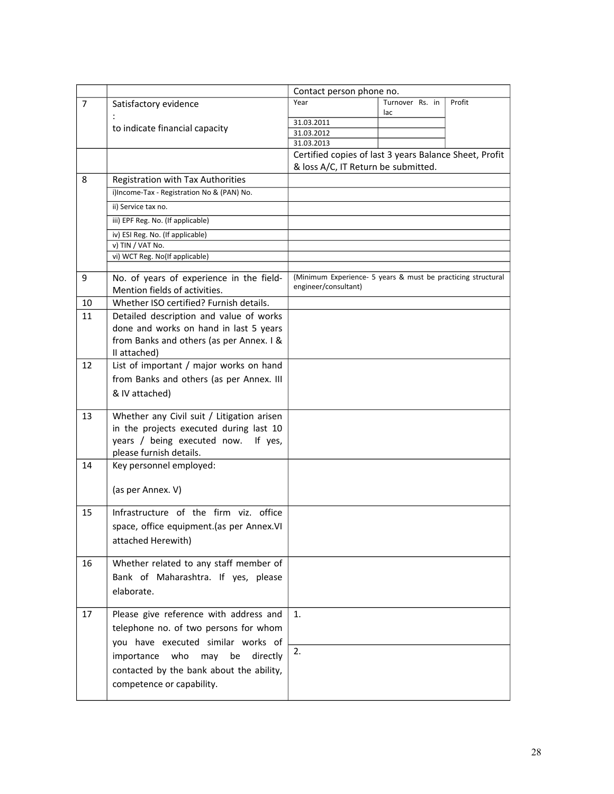|                |                                                                           | Contact person phone no.                                                                      |                        |        |
|----------------|---------------------------------------------------------------------------|-----------------------------------------------------------------------------------------------|------------------------|--------|
| $\overline{7}$ | Satisfactory evidence                                                     | Year                                                                                          | Turnover Rs. in<br>lac | Profit |
|                | to indicate financial capacity                                            | 31.03.2011                                                                                    |                        |        |
|                |                                                                           | 31.03.2012                                                                                    |                        |        |
|                |                                                                           | 31.03.2013                                                                                    |                        |        |
|                |                                                                           | Certified copies of last 3 years Balance Sheet, Profit<br>& loss A/C, IT Return be submitted. |                        |        |
| 8              | Registration with Tax Authorities                                         |                                                                                               |                        |        |
|                | i)Income-Tax - Registration No & (PAN) No.                                |                                                                                               |                        |        |
|                | ii) Service tax no.                                                       |                                                                                               |                        |        |
|                | iii) EPF Reg. No. (If applicable)                                         |                                                                                               |                        |        |
|                | iv) ESI Reg. No. (If applicable)                                          |                                                                                               |                        |        |
|                | v) TIN / VAT No.                                                          |                                                                                               |                        |        |
|                | vi) WCT Reg. No(If applicable)                                            |                                                                                               |                        |        |
|                |                                                                           |                                                                                               |                        |        |
| 9              | No. of years of experience in the field-<br>Mention fields of activities. | (Minimum Experience- 5 years & must be practicing structural<br>engineer/consultant)          |                        |        |
| 10             | Whether ISO certified? Furnish details.                                   |                                                                                               |                        |        |
| 11             | Detailed description and value of works                                   |                                                                                               |                        |        |
|                | done and works on hand in last 5 years                                    |                                                                                               |                        |        |
|                | from Banks and others (as per Annex. I &                                  |                                                                                               |                        |        |
|                | II attached)                                                              |                                                                                               |                        |        |
| 12             | List of important / major works on hand                                   |                                                                                               |                        |        |
|                | from Banks and others (as per Annex. III                                  |                                                                                               |                        |        |
|                | & IV attached)                                                            |                                                                                               |                        |        |
|                |                                                                           |                                                                                               |                        |        |
| 13             | Whether any Civil suit / Litigation arisen                                |                                                                                               |                        |        |
|                | in the projects executed during last 10                                   |                                                                                               |                        |        |
|                | years / being executed now.<br>If yes,                                    |                                                                                               |                        |        |
|                | please furnish details.                                                   |                                                                                               |                        |        |
| 14             | Key personnel employed:                                                   |                                                                                               |                        |        |
|                |                                                                           |                                                                                               |                        |        |
|                | (as per Annex. V)                                                         |                                                                                               |                        |        |
|                |                                                                           |                                                                                               |                        |        |
| 15             | Infrastructure of the firm viz. office                                    |                                                                                               |                        |        |
|                | space, office equipment.(as per Annex.VI                                  |                                                                                               |                        |        |
|                | attached Herewith)                                                        |                                                                                               |                        |        |
|                |                                                                           |                                                                                               |                        |        |
| 16             | Whether related to any staff member of                                    |                                                                                               |                        |        |
|                | Bank of Maharashtra. If yes, please                                       |                                                                                               |                        |        |
|                | elaborate.                                                                |                                                                                               |                        |        |
|                |                                                                           |                                                                                               |                        |        |
| 17             | Please give reference with address and                                    | 1.                                                                                            |                        |        |
|                | telephone no. of two persons for whom                                     |                                                                                               |                        |        |
|                |                                                                           |                                                                                               |                        |        |
|                | you have executed similar works of                                        | 2.                                                                                            |                        |        |
|                | who<br>importance<br>may<br>be<br>directly                                |                                                                                               |                        |        |
|                | contacted by the bank about the ability,                                  |                                                                                               |                        |        |
|                | competence or capability.                                                 |                                                                                               |                        |        |
|                |                                                                           |                                                                                               |                        |        |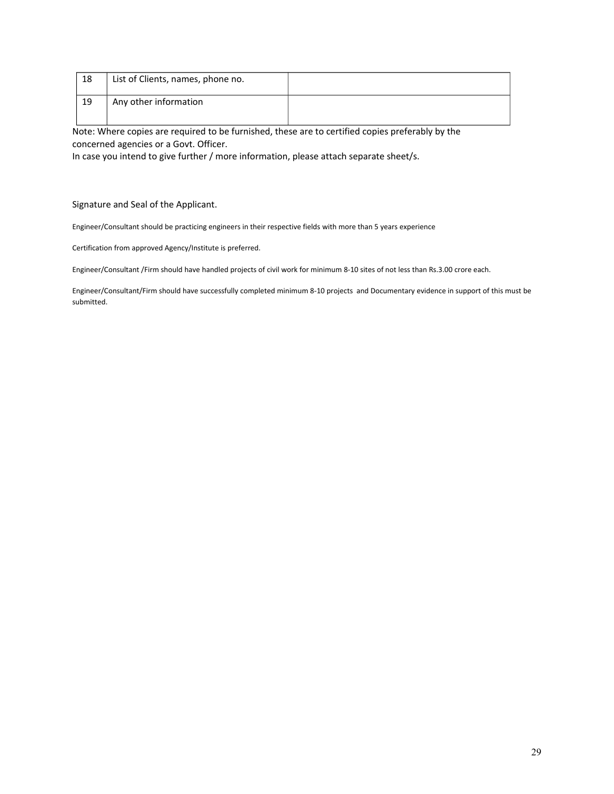| 18 | List of Clients, names, phone no. |  |
|----|-----------------------------------|--|
| 19 | Any other information             |  |

Note: Where copies are required to be furnished, these are to certified copies preferably by the concerned agencies or a Govt. Officer.

In case you intend to give further / more information, please attach separate sheet/s.

Signature and Seal of the Applicant.

Engineer/Consultant should be practicing engineers in their respective fields with more than 5 years experience

Certification from approved Agency/Institute is preferred.

Engineer/Consultant /Firm should have handled projects of civil work for minimum 8-10 sites of not less than Rs.3.00 crore each.

Engineer/Consultant/Firm should have successfully completed minimum 8-10 projects and Documentary evidence in support of this must be submitted.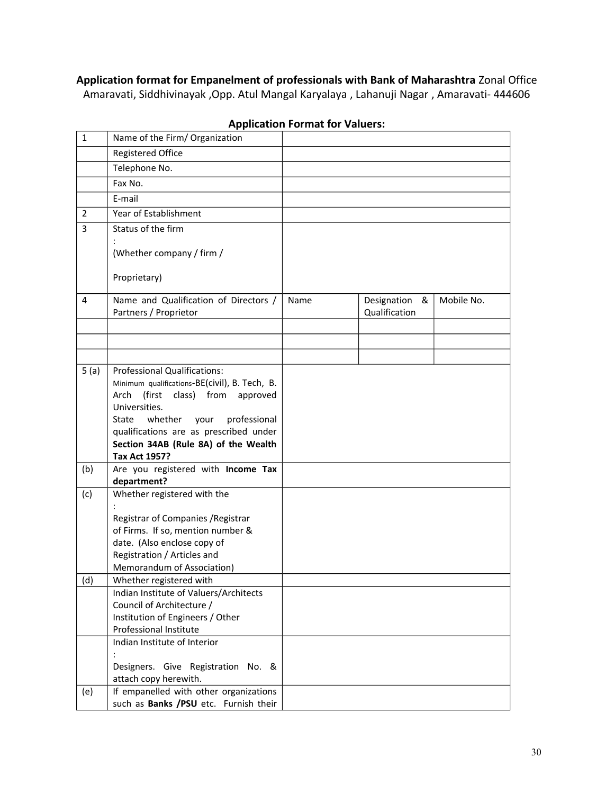**Application format for Empanelment of professionals with Bank of Maharashtra** Zonal Office Amaravati, Siddhivinayak ,Opp. Atul Mangal Karyalaya , Lahanuji Nagar , Amaravati- 444606

| $\mathbf{1}$   | Name of the Firm/ Organization                                                                                                                                                                                                                                    |      |                                   |            |
|----------------|-------------------------------------------------------------------------------------------------------------------------------------------------------------------------------------------------------------------------------------------------------------------|------|-----------------------------------|------------|
|                | <b>Registered Office</b>                                                                                                                                                                                                                                          |      |                                   |            |
|                | Telephone No.                                                                                                                                                                                                                                                     |      |                                   |            |
|                | Fax No.                                                                                                                                                                                                                                                           |      |                                   |            |
|                | E-mail                                                                                                                                                                                                                                                            |      |                                   |            |
| $\overline{2}$ | Year of Establishment                                                                                                                                                                                                                                             |      |                                   |            |
| 3              | Status of the firm                                                                                                                                                                                                                                                |      |                                   |            |
|                | (Whether company / firm /                                                                                                                                                                                                                                         |      |                                   |            |
|                | Proprietary)                                                                                                                                                                                                                                                      |      |                                   |            |
| 4              | Name and Qualification of Directors /<br>Partners / Proprietor                                                                                                                                                                                                    | Name | Designation<br>&<br>Qualification | Mobile No. |
|                |                                                                                                                                                                                                                                                                   |      |                                   |            |
|                |                                                                                                                                                                                                                                                                   |      |                                   |            |
| 5(a)           | <b>Professional Qualifications:</b>                                                                                                                                                                                                                               |      |                                   |            |
|                | Minimum qualifications-BE(civil), B. Tech, B.<br>(first<br>class)<br>from approved<br>Arch<br>Universities.<br>whether<br>State<br>your<br>professional<br>qualifications are as prescribed under<br>Section 34AB (Rule 8A) of the Wealth<br><b>Tax Act 1957?</b> |      |                                   |            |
| (b)            | Are you registered with Income Tax<br>department?                                                                                                                                                                                                                 |      |                                   |            |
| (c)            | Whether registered with the                                                                                                                                                                                                                                       |      |                                   |            |
|                | Registrar of Companies / Registrar<br>of Firms. If so, mention number &<br>date. (Also enclose copy of<br>Registration / Articles and<br>Memorandum of Association)                                                                                               |      |                                   |            |
| (d)            | Whether registered with                                                                                                                                                                                                                                           |      |                                   |            |
|                | Indian Institute of Valuers/Architects<br>Council of Architecture /<br>Institution of Engineers / Other<br>Professional Institute                                                                                                                                 |      |                                   |            |
|                | Indian Institute of Interior<br>Designers. Give Registration No. &<br>attach copy herewith.                                                                                                                                                                       |      |                                   |            |
| (e)            | If empanelled with other organizations<br>such as Banks /PSU etc. Furnish their                                                                                                                                                                                   |      |                                   |            |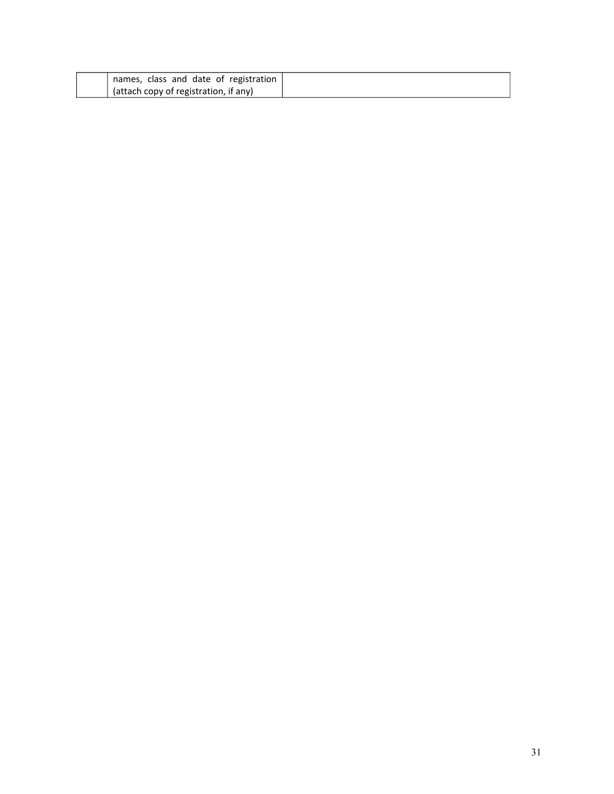| names, class and date of registration |
|---------------------------------------|
| (attach copy of registration, if any) |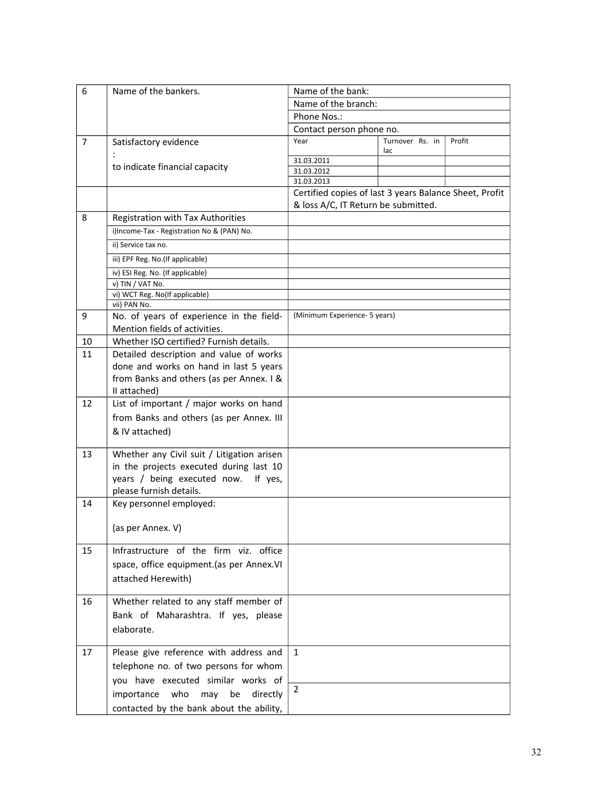| 6  | Name of the bankers.                               | Name of the bank:                                                                             |                        |        |  |
|----|----------------------------------------------------|-----------------------------------------------------------------------------------------------|------------------------|--------|--|
|    |                                                    | Name of the branch:                                                                           |                        |        |  |
|    |                                                    | Phone Nos.:                                                                                   |                        |        |  |
|    |                                                    | Contact person phone no.                                                                      |                        |        |  |
| 7  | Satisfactory evidence                              | Year                                                                                          | Turnover Rs. in<br>lac | Profit |  |
|    |                                                    | 31.03.2011                                                                                    |                        |        |  |
|    | to indicate financial capacity                     | 31.03.2012                                                                                    |                        |        |  |
|    |                                                    | 31.03.2013                                                                                    |                        |        |  |
|    |                                                    | Certified copies of last 3 years Balance Sheet, Profit<br>& loss A/C, IT Return be submitted. |                        |        |  |
| 8  | Registration with Tax Authorities                  |                                                                                               |                        |        |  |
|    | i)Income-Tax - Registration No & (PAN) No.         |                                                                                               |                        |        |  |
|    | ii) Service tax no.                                |                                                                                               |                        |        |  |
|    | iii) EPF Reg. No.(If applicable)                   |                                                                                               |                        |        |  |
|    |                                                    |                                                                                               |                        |        |  |
|    | iv) ESI Reg. No. (If applicable)                   |                                                                                               |                        |        |  |
|    | v) TIN / VAT No.<br>vi) WCT Reg. No(If applicable) |                                                                                               |                        |        |  |
|    | vii) PAN No.                                       |                                                                                               |                        |        |  |
| 9  | No. of years of experience in the field-           | (Minimum Experience- 5 years)                                                                 |                        |        |  |
|    | Mention fields of activities.                      |                                                                                               |                        |        |  |
| 10 | Whether ISO certified? Furnish details.            |                                                                                               |                        |        |  |
| 11 | Detailed description and value of works            |                                                                                               |                        |        |  |
|    | done and works on hand in last 5 years             |                                                                                               |                        |        |  |
|    | from Banks and others (as per Annex. I &           |                                                                                               |                        |        |  |
|    | II attached)                                       |                                                                                               |                        |        |  |
| 12 | List of important / major works on hand            |                                                                                               |                        |        |  |
|    |                                                    |                                                                                               |                        |        |  |
|    | from Banks and others (as per Annex. III           |                                                                                               |                        |        |  |
|    | & IV attached)                                     |                                                                                               |                        |        |  |
| 13 | Whether any Civil suit / Litigation arisen         |                                                                                               |                        |        |  |
|    | in the projects executed during last 10            |                                                                                               |                        |        |  |
|    | years / being executed now.<br>If yes,             |                                                                                               |                        |        |  |
|    | please furnish details.                            |                                                                                               |                        |        |  |
| 14 | Key personnel employed:                            |                                                                                               |                        |        |  |
|    |                                                    |                                                                                               |                        |        |  |
|    | (as per Annex. V)                                  |                                                                                               |                        |        |  |
|    |                                                    |                                                                                               |                        |        |  |
| 15 | Infrastructure of the firm viz. office             |                                                                                               |                        |        |  |
|    | space, office equipment.(as per Annex.VI           |                                                                                               |                        |        |  |
|    | attached Herewith)                                 |                                                                                               |                        |        |  |
|    |                                                    |                                                                                               |                        |        |  |
| 16 | Whether related to any staff member of             |                                                                                               |                        |        |  |
|    | Bank of Maharashtra. If yes, please                |                                                                                               |                        |        |  |
|    |                                                    |                                                                                               |                        |        |  |
|    | elaborate.                                         |                                                                                               |                        |        |  |
| 17 | Please give reference with address and             | $\mathbf{1}$                                                                                  |                        |        |  |
|    |                                                    |                                                                                               |                        |        |  |
|    | telephone no. of two persons for whom              |                                                                                               |                        |        |  |
|    | you have executed similar works of                 | $\overline{2}$                                                                                |                        |        |  |
|    | be<br>importance<br>who<br>may<br>directly         |                                                                                               |                        |        |  |
|    | contacted by the bank about the ability,           |                                                                                               |                        |        |  |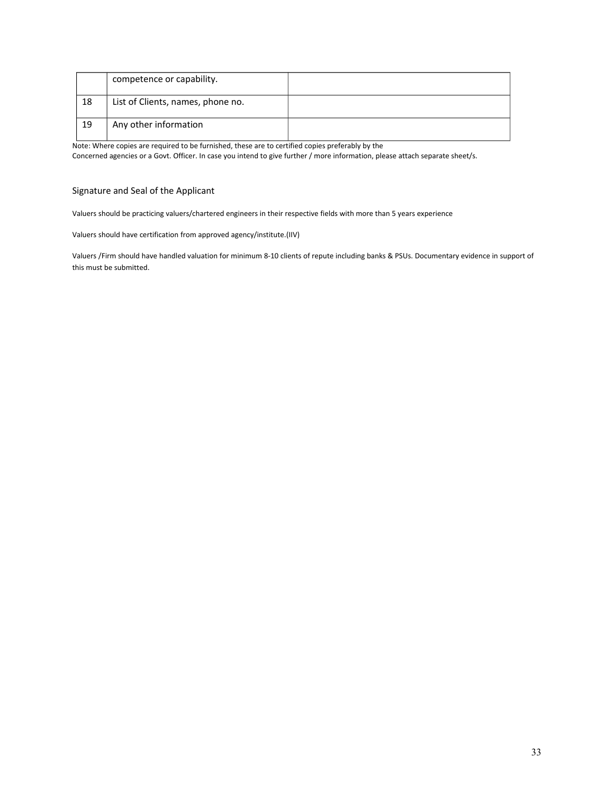|    | competence or capability.         |  |
|----|-----------------------------------|--|
| 18 | List of Clients, names, phone no. |  |
| 19 | Any other information             |  |

Note: Where copies are required to be furnished, these are to certified copies preferably by the

Concerned agencies or a Govt. Officer. In case you intend to give further / more information, please attach separate sheet/s.

#### Signature and Seal of the Applicant

Valuers should be practicing valuers/chartered engineers in their respective fields with more than 5 years experience

Valuers should have certification from approved agency/institute.(IIV)

Valuers /Firm should have handled valuation for minimum 8-10 clients of repute including banks & PSUs. Documentary evidence in support of this must be submitted.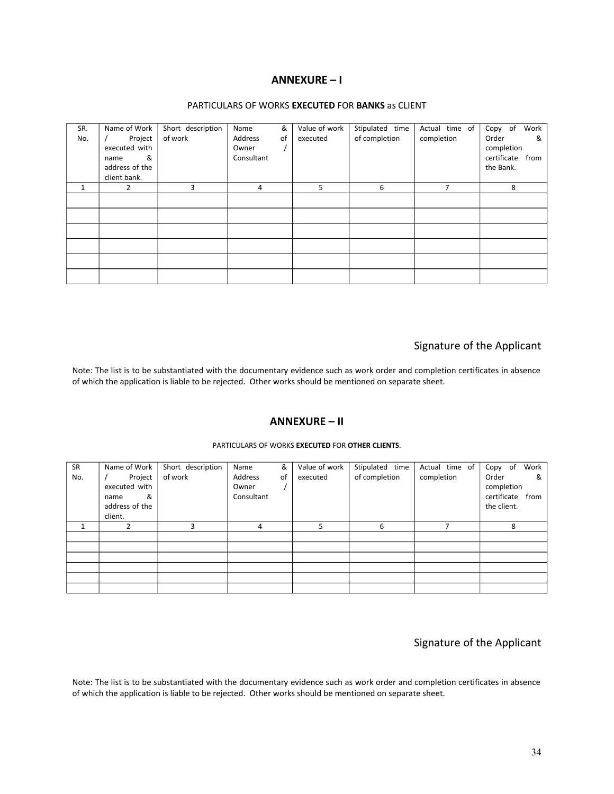### **ANNEXURE – I**

#### PARTICULARS OF WORKS **EXECUTED** FOR **BANKS** as CLIENT

| SR. | Name of Work   | Short description | Name       | &  | Value of work | Stipulated time | Actual time of | Work<br>Copy of  |
|-----|----------------|-------------------|------------|----|---------------|-----------------|----------------|------------------|
| No. | Project        | of work           | Address    | of | executed      | of completion   | completion     | Order<br>&       |
|     | executed with  |                   | Owner      |    |               |                 |                | completion       |
|     | &<br>name      |                   | Consultant |    |               |                 |                | certificate from |
|     | address of the |                   |            |    |               |                 |                | the Bank.        |
|     | client bank.   |                   |            |    |               |                 |                |                  |
| 1   | 2              | 3                 | 4          |    | 5             | 6               |                | 8                |
|     |                |                   |            |    |               |                 |                |                  |
|     |                |                   |            |    |               |                 |                |                  |
|     |                |                   |            |    |               |                 |                |                  |
|     |                |                   |            |    |               |                 |                |                  |
|     |                |                   |            |    |               |                 |                |                  |
|     |                |                   |            |    |               |                 |                |                  |
|     |                |                   |            |    |               |                 |                |                  |
|     |                |                   |            |    |               |                 |                |                  |
|     |                |                   |            |    |               |                 |                |                  |

# Signature of the Applicant

Note: The list is to be substantiated with the documentary evidence such as work order and completion certificates in absence of which the application is liable to be rejected. Other works should be mentioned on separate sheet.

### **ANNEXURE – II**

| SR  | Name of Work   | Short description | &<br>Name      | Value of work | Stipulated time | Actual time of | Work<br>Copy of  |   |
|-----|----------------|-------------------|----------------|---------------|-----------------|----------------|------------------|---|
| No. | Project        | of work           | Address<br>οf  | executed      | of completion   | completion     | Order            | & |
|     | executed with  |                   | Owner          |               |                 |                | completion       |   |
|     |                |                   | Consultant     |               |                 |                | certificate from |   |
|     | &<br>name      |                   |                |               |                 |                |                  |   |
|     | address of the |                   |                |               |                 |                | the client.      |   |
|     | client.        |                   |                |               |                 |                |                  |   |
|     |                | 3                 | $\overline{4}$ | 5             | 6               |                | 8                |   |
|     |                |                   |                |               |                 |                |                  |   |
|     |                |                   |                |               |                 |                |                  |   |
|     |                |                   |                |               |                 |                |                  |   |
|     |                |                   |                |               |                 |                |                  |   |
|     |                |                   |                |               |                 |                |                  |   |
|     |                |                   |                |               |                 |                |                  |   |

#### PARTICULARS OF WORKS **EXECUTED** FOR **OTHER CLIENTS**.

# Signature of the Applicant

Note: The list is to be substantiated with the documentary evidence such as work order and completion certificates in absence of which the application is liable to be rejected. Other works should be mentioned on separate sheet.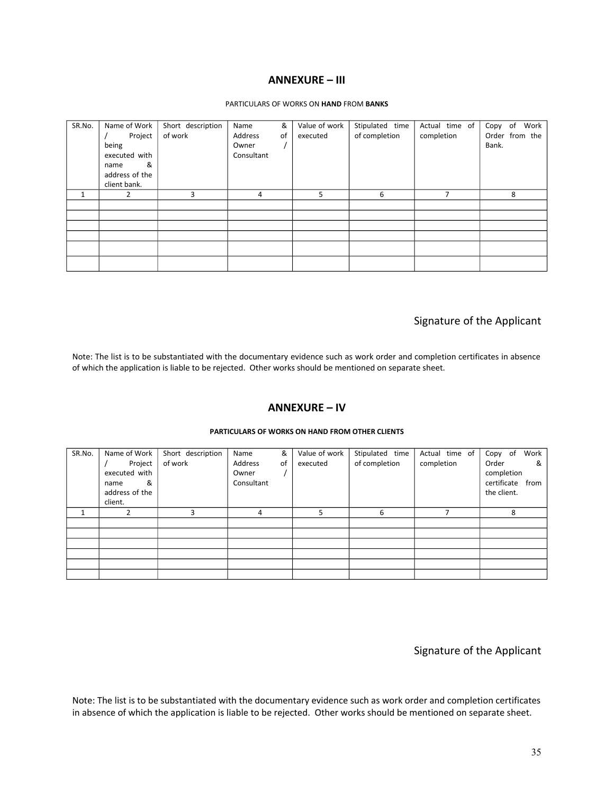### **ANNEXURE – III**

#### PARTICULARS OF WORKS ON **HAND** FROM **BANKS**

| SR.No. | Name of Work<br>Project<br>being<br>executed with<br>&<br>name<br>address of the<br>client bank. | Short description<br>of work | Name<br>Address<br>Owner<br>Consultant | &<br>οf | Value of work<br>executed | Stipulated time<br>of completion | Actual time of<br>completion | Copy of<br>Work<br>Order from the<br>Bank. |
|--------|--------------------------------------------------------------------------------------------------|------------------------------|----------------------------------------|---------|---------------------------|----------------------------------|------------------------------|--------------------------------------------|
| 1      | 2                                                                                                | 3                            | 4                                      |         | 5                         | 6                                | $\overline{ }$               | 8                                          |
|        |                                                                                                  |                              |                                        |         |                           |                                  |                              |                                            |
|        |                                                                                                  |                              |                                        |         |                           |                                  |                              |                                            |
|        |                                                                                                  |                              |                                        |         |                           |                                  |                              |                                            |
|        |                                                                                                  |                              |                                        |         |                           |                                  |                              |                                            |

# Signature of the Applicant

Note: The list is to be substantiated with the documentary evidence such as work order and completion certificates in absence of which the application is liable to be rejected. Other works should be mentioned on separate sheet.

### **ANNEXURE – IV**

| SR.No. | Name of Work   | Short description | &<br>Name     | Value of work | Stipulated time | Actual time of | Work<br>Copy of  |
|--------|----------------|-------------------|---------------|---------------|-----------------|----------------|------------------|
|        | Project        | of work           | Address<br>0f | executed      | of completion   | completion     | Order<br>&       |
|        | executed with  |                   | Owner         |               |                 |                | completion       |
|        | &<br>name      |                   | Consultant    |               |                 |                | certificate from |
|        | address of the |                   |               |               |                 |                | the client.      |
|        | client.        |                   |               |               |                 |                |                  |
|        |                | 3                 | 4             | 5             | 6               |                | 8                |
|        |                |                   |               |               |                 |                |                  |
|        |                |                   |               |               |                 |                |                  |
|        |                |                   |               |               |                 |                |                  |
|        |                |                   |               |               |                 |                |                  |
|        |                |                   |               |               |                 |                |                  |
|        |                |                   |               |               |                 |                |                  |

#### **PARTICULARS OF WORKS ON HAND FROM OTHER CLIENTS**

Signature of the Applicant

Note: The list is to be substantiated with the documentary evidence such as work order and completion certificates in absence of which the application is liable to be rejected. Other works should be mentioned on separate sheet.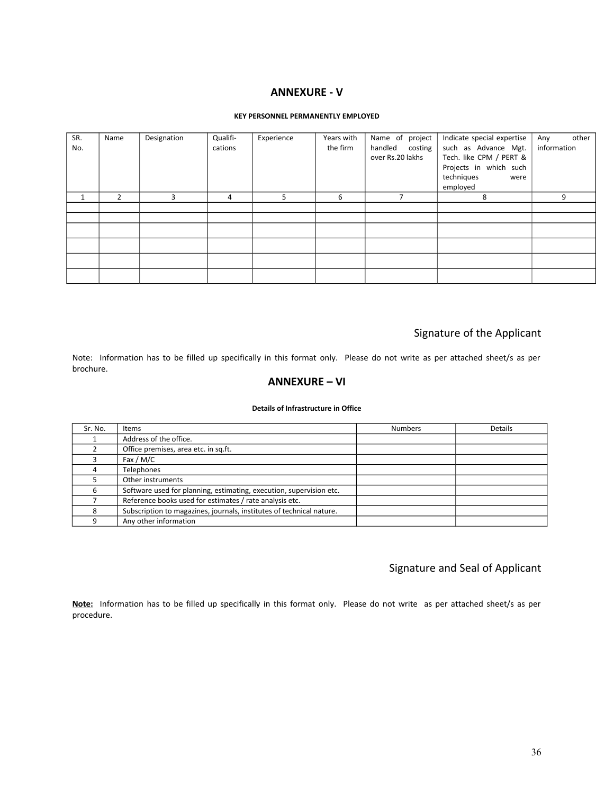### **ANNEXURE - V**

### **KEY PERSONNEL PERMANENTLY EMPLOYED**

| SR.<br>No. | Name           | Designation | Qualifi-<br>cations | Experience | Years with<br>the firm | Name of project<br>handled costing<br>over Rs.20 lakhs | Indicate special expertise<br>such as Advance Mgt.<br>Tech. like CPM / PERT &<br>Projects in which such<br>techniques<br>were | other<br>Any<br>information |
|------------|----------------|-------------|---------------------|------------|------------------------|--------------------------------------------------------|-------------------------------------------------------------------------------------------------------------------------------|-----------------------------|
|            |                |             |                     |            |                        | ┑                                                      | employed                                                                                                                      |                             |
|            | $\overline{2}$ | 3           | 4                   | 5.         | 6                      |                                                        | 8                                                                                                                             | 9                           |
|            |                |             |                     |            |                        |                                                        |                                                                                                                               |                             |
|            |                |             |                     |            |                        |                                                        |                                                                                                                               |                             |
|            |                |             |                     |            |                        |                                                        |                                                                                                                               |                             |
|            |                |             |                     |            |                        |                                                        |                                                                                                                               |                             |
|            |                |             |                     |            |                        |                                                        |                                                                                                                               |                             |
|            |                |             |                     |            |                        |                                                        |                                                                                                                               |                             |

# Signature of the Applicant

Note: Information has to be filled up specifically in this format only. Please do not write as per attached sheet/s as per brochure.

### **ANNEXURE – VI**

#### **Details of Infrastructure in Office**

| Sr. No. | Items                                                                | <b>Numbers</b> | <b>Details</b> |
|---------|----------------------------------------------------------------------|----------------|----------------|
|         | Address of the office.                                               |                |                |
|         | Office premises, area etc. in sq.ft.                                 |                |                |
|         | Fax / $M/C$                                                          |                |                |
|         | Telephones                                                           |                |                |
|         | Other instruments                                                    |                |                |
| 6       | Software used for planning, estimating, execution, supervision etc.  |                |                |
|         | Reference books used for estimates / rate analysis etc.              |                |                |
|         | Subscription to magazines, journals, institutes of technical nature. |                |                |
| Ω       | Any other information                                                |                |                |

# Signature and Seal of Applicant

**Note:** Information has to be filled up specifically in this format only. Please do not write as per attached sheet/s as per procedure.